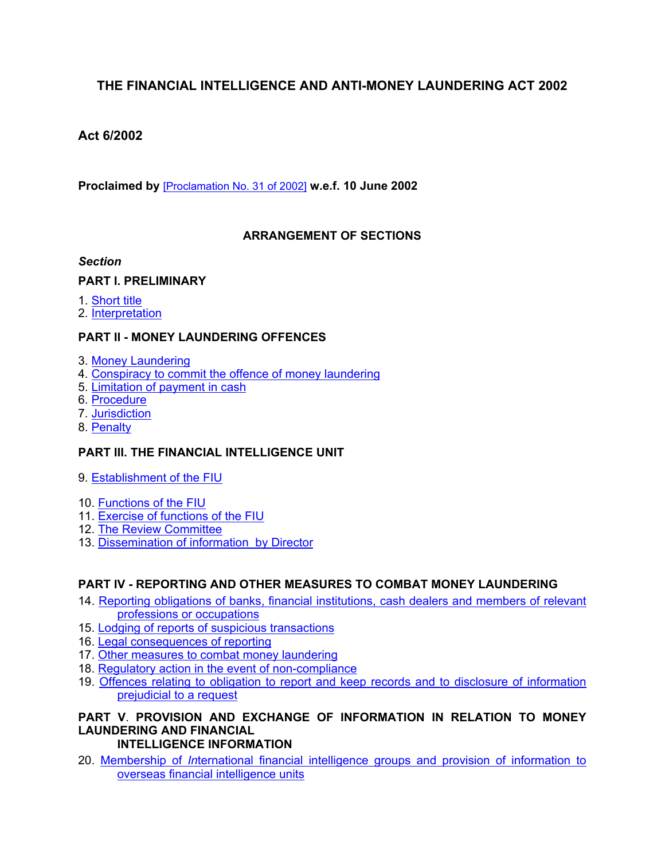# **THE FINANCIAL INTELLIGENCE AND ANTI-MONEY LAUNDERING ACT 2002**

## **Act 6/2002**

**Proclaimed by** [\[Proclamation](https://supremecourt.govmu.org/_layouts/CLIS.DMS/search/searchdocumentbykey.aspx?ID=%5BProclamation%20No.%2031%20of%202002%5D&list=Legislations) No. 31 of 2002] **w.e.f. 10 June 2002**

### **ARRANGEMENT OF SECTIONS**

#### *Section*

### **PART I. PRELIMINARY**

- 1. [Short](#page-1-0) title
- 2. [Interpretation](#page-1-1)

### **PART II - MONEY LAUNDERING OFFENCES**

- 3. Money [Laundering](#page-8-0)
- 4. [Conspiracy](#page-9-0) to commit the offence of money laundering
- 5. [Limitation](#page-9-1) of payment in cash
- 6. [Procedure](#page-9-2)
- 7. [Jurisdiction](#page-10-0)
- 8. [Penalty](#page-10-1)

## **PART III. THE FINANCIAL INTELLIGENCE UNIT**

- 9. [Establishment](#page-10-2) of the FIU
- 10. [Functions](#page-11-0) of the FIU
- 11. Exercise of [functions](#page-13-0) of the FIU
- 12. The Review [Committee](#page-13-1)
- 13. Dissemination of [information by](#page-15-0) Director

## **PART IV - REPORTING AND OTHER MEASURES TO COMBAT MONEY LAUNDERING**

- 14. Reporting obligations of banks, financial [institutions,](#page-16-0) cash dealers and members of relevant professions or [occupations](#page-16-0)
- 15. Lodging of reports of suspicious [transactions](#page-17-0)
- 16. Legal [consequences](#page-18-0) of reporting
- 17. Other measures to combat money laundering
- 18. Regulatory action in the event of [non-compliance](#page-24-0)
- 19. Offences relating to obligation to report and keep records and to disclosure of [information](#page-26-0) [prejudicial](#page-26-0) to a request

#### **PART V**. **PROVISION AND EXCHANGE OF INFORMATION IN RELATION TO MONEY LAUNDERING AND FINANCIAL INTELLIGENCE INFORMATION**

20. [Membership](#page-32-0) of *In*ternational financial intelligence groups and provision of information to overseas financial [intelligence](#page-32-0) units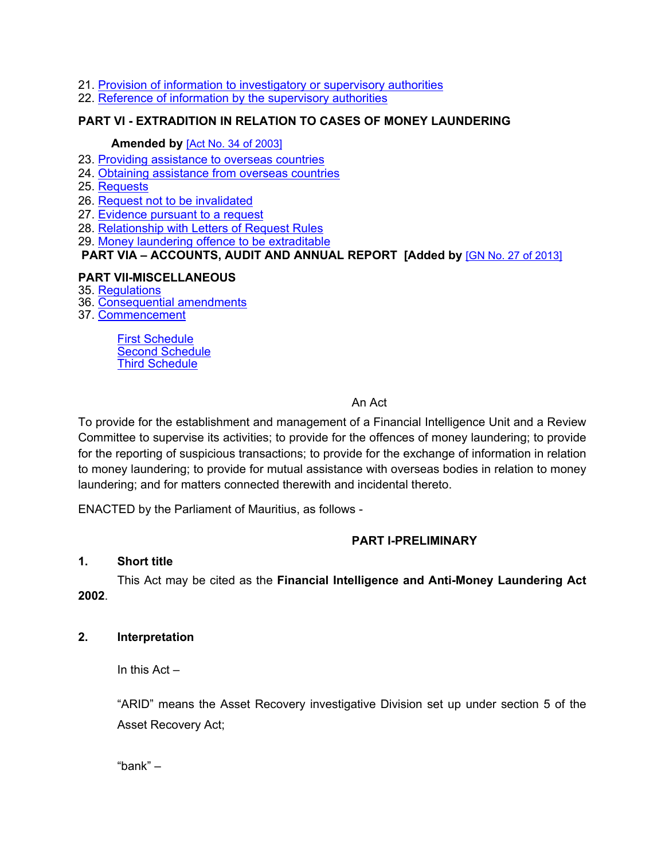- 21. Provision of information to [investigatory](#page-32-1) or supervisory authorities
- 22. Reference of information by the [supervisory](#page-33-0) authorities

### **PART VI - EXTRADITION IN RELATION TO CASES OF MONEY LAUNDERING**

#### **Amended by** [Act No. 34 of [2003\]](https://supremecourt.govmu.org/_layouts/CLIS.DMS/search/searchdocumentbykey.aspx?ID=%5BAct%20No.%2034%20of%202003%5D&list=Legislations)

- 23. Providing [assistance](#page-34-0) to overseas countries
- 24. Obtaining assistance from overseas countries
- 25. Requests
- 26. Request not to be invalidated
- 27. Evidence pursuant to a request
- 28. Relationship with Letters of Request Rules
- 29. Money laundering offence to be [extraditable](#page-34-1)

### **PART VIA – ACCOUNTS, AUDIT AND ANNUAL REPORT [Added by** [GN No. 27 of [2013\]](https://supremecourt.govmu.org/_layouts/CLIS.DMS/search/searchdocumentbykey.aspx?ID=%5BGN%20No.%2027%20of%202013%5D&list=Legislations)

### **PART VII-MISCELLANEOUS**

- 35. [Regulations](#page-38-0)
- 36. [Consequential](#page-39-0) amendments
- 37. [Commencement](#page-39-1)

First [Schedule](#page-39-2) Second [Schedule](#page-45-0) Third [Schedule](#page-46-0)

### An Act

To provide for the establishment and management of a Financial Intelligence Unit and a Review Committee to supervise its activities; to provide for the offences of money laundering; to provide for the reporting of suspicious transactions; to provide for the exchange of information in relation to money laundering; to provide for mutual assistance with overseas bodies in relation to money laundering; and for matters connected therewith and incidental thereto.

ENACTED by the Parliament of Mauritius, as follows -

## **PART I-PRELIMINARY**

### <span id="page-1-0"></span>**1. Short title**

This Act may be cited as the **Financial Intelligence and Anti-Money Laundering Act 2002**.

### <span id="page-1-1"></span>**2. Interpretation**

In this Act –

"ARID" means the Asset Recovery investigative Division set up under section 5 of the Asset Recovery Act;

"bank" –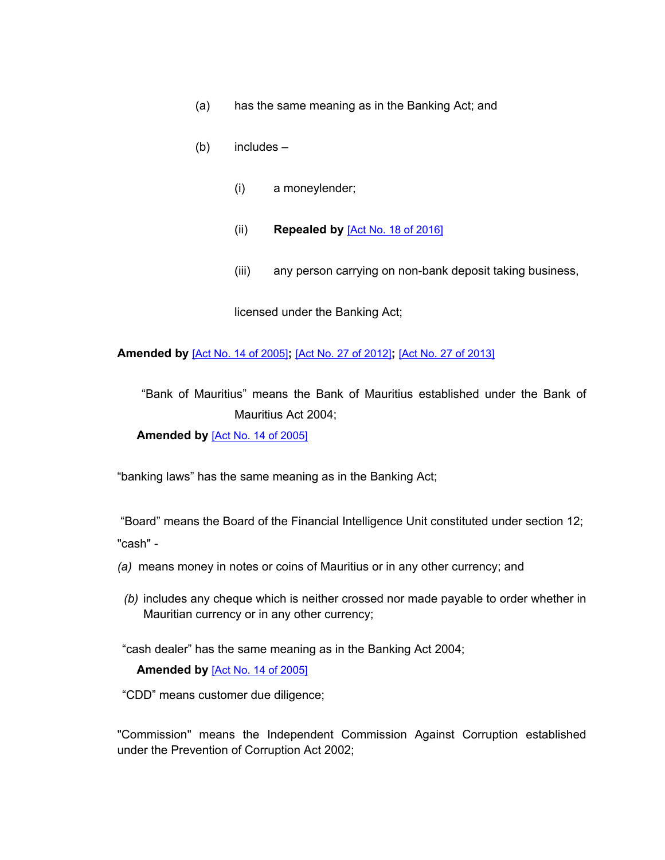- (a) has the same meaning as in the Banking Act; and
- (b) includes
	- (i) a moneylender;
	- (ii) **Repealed by** [Act No. 18 of [2016\]](https://supremecourt.govmu.org/_layouts/CLIS.DMS/search/searchdocumentbykey.aspx?ID=%5BAct%20No.%2018%20of%202016%5D&list=Legislations)
	- (iii) any person carrying on non-bank deposit taking business,

licensed under the Banking Act;

#### **Amended by** [Act No. 14 of [2005\]](https://supremecourt.govmu.org/_layouts/CLIS.DMS/search/searchdocumentbykey.aspx?ID=%5BAct%20No.%2014%20of%202005%5D&list=Legislations)**;** [Act No. 27 of [2012\]](https://supremecourt.govmu.org/_layouts/CLIS.DMS/search/searchdocumentbykey.aspx?ID=%5BAct%20No.%2027%20of%202012%5D&list=Legislations)**;** [Act No. 27 of [2013\]](https://supremecourt.govmu.org/_layouts/CLIS.DMS/search/searchdocumentbykey.aspx?ID=%5BAct%20No.%2027%20of%202013%5D&list=Legislations)

"Bank of Mauritius" means the Bank of Mauritius established under the Bank of Mauritius Act 2004;

**Amended by** [Act No. 14 of [2005\]](https://supremecourt.govmu.org/_layouts/CLIS.DMS/search/searchdocumentbykey.aspx?ID=%5BAct%20No.%2014%20of%202005%5D&list=Legislations)

"banking laws" has the same meaning as in the Banking Act;

"Board" means the Board of the Financial Intelligence Unit constituted under section 12; "cash" -

- *(a)* means money in notes or coins of Mauritius or in any other currency; and
- *(b)* includes any cheque which is neither crossed nor made payable to order whether in Mauritian currency or in any other currency;

"cash dealer" has the same meaning as in the Banking Act 2004;

#### **Amended by** [Act No. 14 of [2005\]](https://supremecourt.govmu.org/_layouts/CLIS.DMS/search/searchdocumentbykey.aspx?ID=%5BAct%20No.%2014%20of%202005%5D&list=Legislations)

"CDD" means customer due diligence;

"Commission" means the Independent Commission Against Corruption established under the Prevention of Corruption Act 2002;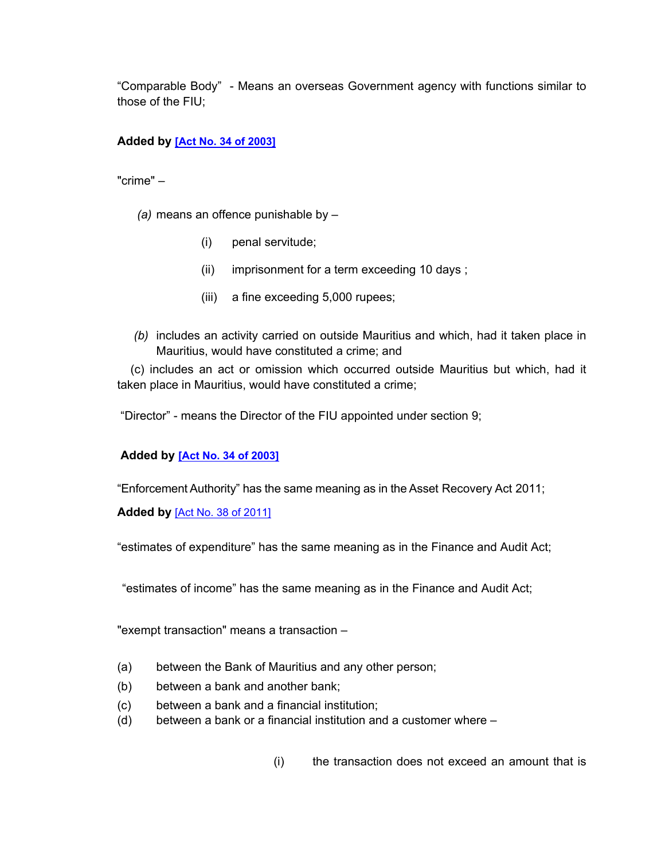"Comparable Body" - Means an overseas Government agency with functions similar to those of the FIU;

### **Added by [Act No. 34 of [2003\]](https://supremecourt.govmu.org/_layouts/CLIS.DMS/search/searchdocumentbykey.aspx?ID=%5BAct%20No.%2034%20of%202003%5D&list=Legislations)**

"crime" –

- *(a)* means an offence punishable by
	- (i) penal servitude;
	- (ii) imprisonment for a term exceeding 10 days ;
	- (iii) a fine exceeding 5,000 rupees;
- *(b)* includes an activity carried on outside Mauritius and which, had it taken place in Mauritius, would have constituted a crime; and

 (c) includes an act or omission which occurred outside Mauritius but which, had it taken place in Mauritius, would have constituted a crime;

"Director" - means the Director of the FIU appointed under section 9;

### **Added by [Act No. 34 of [2003\]](https://supremecourt.govmu.org/_layouts/CLIS.DMS/search/searchdocumentbykey.aspx?ID=%5BAct%20No.%2034%20of%202003%5D&list=Legislations)**

"Enforcement Authority" has the same meaning as in the Asset Recovery Act 2011;

**Added by** [Act No. 38 of [2011\]](https://supremecourt.govmu.org/_layouts/CLIS.DMS/search/searchdocumentbykey.aspx?ID=%5BAct%20No.%2038%20of%202011%5D&list=Legislations)

"estimates of expenditure" has the same meaning as in the Finance and Audit Act;

"estimates of income" has the same meaning as in the Finance and Audit Act;

"exempt transaction" means a transaction –

- (a) between the Bank of Mauritius and any other person;
- (b) between a bank and another bank;
- (c) between a bank and a financial institution;
- (d) between a bank or a financial institution and a customer where
	- (i) the transaction does not exceed an amount that is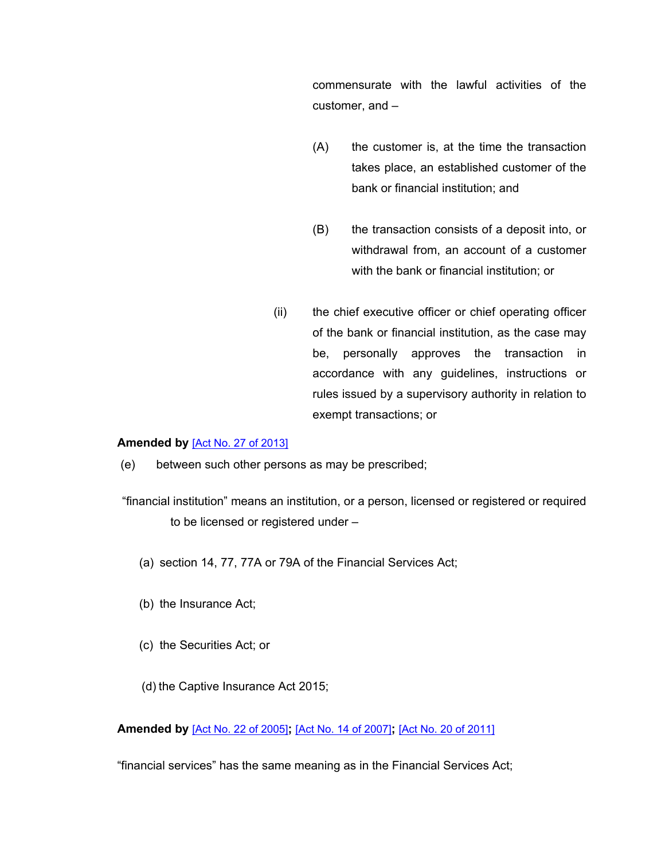commensurate with the lawful activities of the customer, and –

- (A) the customer is, at the time the transaction takes place, an established customer of the bank or financial institution; and
- (B) the transaction consists of a deposit into, or withdrawal from, an account of a customer with the bank or financial institution; or
- (ii) the chief executive officer or chief operating officer of the bank or financial institution, as the case may be, personally approves the transaction in accordance with any guidelines, instructions or rules issued by a supervisory authority in relation to exempt transactions; or

#### **Amended by** [Act No. 27 of [2013\]](https://supremecourt.govmu.org/_layouts/CLIS.DMS/search/searchdocumentbykey.aspx?ID=%5BAct%20No.%2027%20of%202013%5D&list=Legislations)

- (e) between such other persons as may be prescribed;
- "financial institution" means an institution, or a person, licensed or registered or required to be licensed or registered under –
	- (a) section 14, 77, 77A or 79A of the Financial Services Act;
	- (b) the Insurance Act;
	- (c) the Securities Act; or
	- (d) the Captive Insurance Act 2015;

**Amended by** [Act No. 22 of [2005\]](https://supremecourt.govmu.org/_layouts/CLIS.DMS/search/searchdocumentbykey.aspx?ID=%5BAct%20No.%2022%20of%202005%5D&list=Legislations)**;** [Act No. 14 of [2007\]](https://supremecourt.govmu.org/_layouts/CLIS.DMS/search/searchdocumentbykey.aspx?ID=%5BAct%20No.%2014%20of%202007%5D&list=Legislations)**;** [Act No. 20 of [2011\]](https://supremecourt.govmu.org/_layouts/CLIS.DMS/search/searchdocumentbykey.aspx?ID=%5BAct%20No.%2020%20of%202011%5D&list=Legislations)

"financial services" has the same meaning as in the Financial Services Act;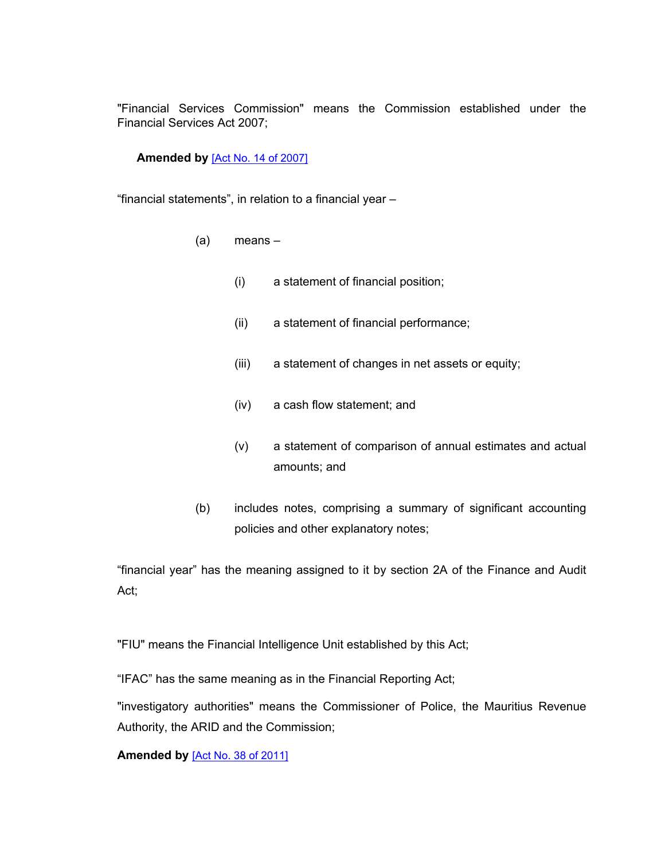"Financial Services Commission" means the Commission established under the Financial Services Act 2007;

### **Amended by** [Act No. 14 of [2007\]](https://supremecourt.govmu.org/_layouts/CLIS.DMS/search/searchdocumentbykey.aspx?ID=%5BAct%20No.%2014%20of%202007%5D&list=Legislations)

"financial statements", in relation to a financial year –

- (a) means
	- (i) a statement of financial position;
	- (ii) a statement of financial performance;
	- (iii) a statement of changes in net assets or equity;
	- (iv) a cash flow statement; and
	- (v) a statement of comparison of annual estimates and actual amounts; and
- (b) includes notes, comprising a summary of significant accounting policies and other explanatory notes;

"financial year" has the meaning assigned to it by section 2A of the Finance and Audit Act;

"FIU" means the Financial Intelligence Unit established by this Act;

"IFAC" has the same meaning as in the Financial Reporting Act;

"investigatory authorities" means the Commissioner of Police, the Mauritius Revenue Authority, the ARID and the Commission;

**Amended by** [Act No. 38 of [2011\]](https://supremecourt.govmu.org/_layouts/CLIS.DMS/search/searchdocumentbykey.aspx?ID=%5BAct%20No.%2038%20of%202011%5D&list=Legislations)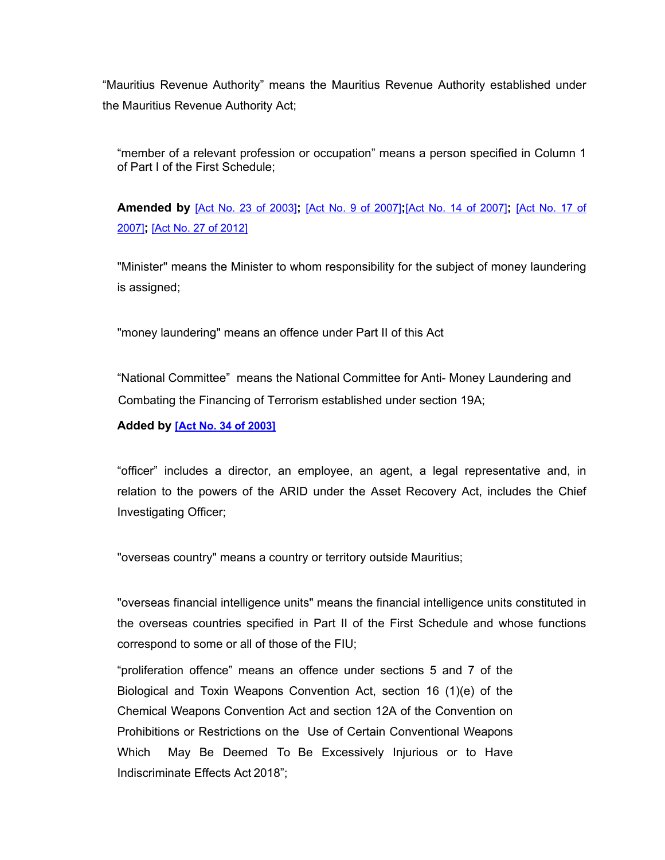"Mauritius Revenue Authority" means the Mauritius Revenue Authority established under the Mauritius Revenue Authority Act;

"member of a relevant profession or occupation" means a person specified in Column 1 of Part I of the First Schedule;

**Amended by** [Act No. 23 of [2003\]](https://supremecourt.govmu.org/_layouts/CLIS.DMS/search/searchdocumentbykey.aspx?ID=%5BAct%20No.%2023%20of%202003%5D&list=Legislations)**;** [Act No. 9 of [2007\]](https://supremecourt.govmu.org/_layouts/CLIS.DMS/search/searchdocumentbykey.aspx?ID=%5BAct%20No.%209%20of%202007%5D&list=Legislations)**;**[Act No. 14 of [2007\]](https://supremecourt.govmu.org/_layouts/CLIS.DMS/search/searchdocumentbykey.aspx?ID=%5BAct%20No.%2014%20of%202007%5D&list=Legislations)**;** [\[Act](https://supremecourt.govmu.org/_layouts/CLIS.DMS/search/searchdocumentbykey.aspx?ID=%5BAct%20No.%2017%20of%202007%5D&list=Legislations) No. 17 of [2007\]](https://supremecourt.govmu.org/_layouts/CLIS.DMS/search/searchdocumentbykey.aspx?ID=%5BAct%20No.%2017%20of%202007%5D&list=Legislations)**;** [Act No. 27 of [2012\]](https://supremecourt.govmu.org/_layouts/CLIS.DMS/search/searchdocumentbykey.aspx?ID=%5BAct%20No.%2027%20of%202012%5D&list=Legislations)

"Minister" means the Minister to whom responsibility for the subject of money laundering is assigned;

"money laundering" means an offence under Part II of this Act

"National Committee" means the National Committee for Anti- Money Laundering and Combating the Financing of Terrorism established under section 19A;

**Added by [Act No. 34 of [2003\]](https://supremecourt.govmu.org/_layouts/CLIS.DMS/search/searchdocumentbykey.aspx?ID=%5BAct%20No.%2034%20of%202003%5D&list=Legislations)**

"officer" includes a director, an employee, an agent, a legal representative and, in relation to the powers of the ARID under the Asset Recovery Act, includes the Chief Investigating Officer;

"overseas country" means a country or territory outside Mauritius;

"overseas financial intelligence units" means the financial intelligence units constituted in the overseas countries specified in Part II of the First Schedule and whose functions correspond to some or all of those of the FIU;

"proliferation offence" means an offence under sections 5 and 7 of the Biological and Toxin Weapons Convention Act, section 16 (1)(e) of the Chemical Weapons Convention Act and section 12A of the Convention on Prohibitions or Restrictions on the Use of Certain Conventional Weapons Which May Be Deemed To Be Excessively Injurious or to Have Indiscriminate Effects Act 2018";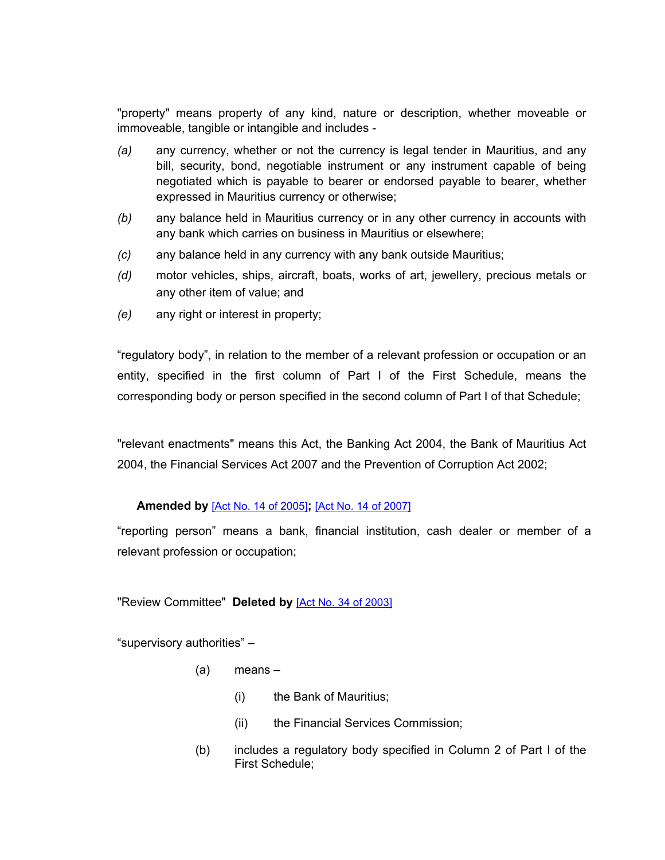"property" means property of any kind, nature or description, whether moveable or immoveable, tangible or intangible and includes -

- *(a)* any currency, whether or not the currency is legal tender in Mauritius, and any bill, security, bond, negotiable instrument or any instrument capable of being negotiated which is payable to bearer or endorsed payable to bearer, whether expressed in Mauritius currency or otherwise;
- *(b)* any balance held in Mauritius currency or in any other currency in accounts with any bank which carries on business in Mauritius or elsewhere;
- *(c)* any balance held in any currency with any bank outside Mauritius;
- *(d)* motor vehicles, ships, aircraft, boats, works of art, jewellery, precious metals or any other item of value; and
- *(e)* any right or interest in property;

"regulatory body", in relation to the member of a relevant profession or occupation or an entity, specified in the first column of Part I of the First Schedule, means the corresponding body or person specified in the second column of Part I of that Schedule;

"relevant enactments" means this Act, the Banking Act 2004, the Bank of Mauritius Act 2004, the Financial Services Act 2007 and the Prevention of Corruption Act 2002;

### **Amended by** [Act No. 14 of [2005\]](https://supremecourt.govmu.org/_layouts/CLIS.DMS/search/searchdocumentbykey.aspx?ID=%5BAct%20No.%2014%20of%202005%5D&list=Legislations)**;** [Act No. 14 of [2007\]](https://supremecourt.govmu.org/_layouts/CLIS.DMS/search/searchdocumentbykey.aspx?ID=%5BAct%20No.%2014%20of%202007%5D&list=Legislations)

"reporting person" means a bank, financial institution, cash dealer or member of a relevant profession or occupation;

#### "Review Committee" **Deleted by** [Act No. 34 of [2003\]](https://supremecourt.govmu.org/_layouts/CLIS.DMS/search/searchdocumentbykey.aspx?ID=%5BAct%20No.%2034%20of%202003%5D&list=Legislations)

"supervisory authorities" –

- (a) means
	- (i) the Bank of Mauritius;
	- (ii) the Financial Services Commission;
- (b) includes a regulatory body specified in Column 2 of Part I of the First Schedule;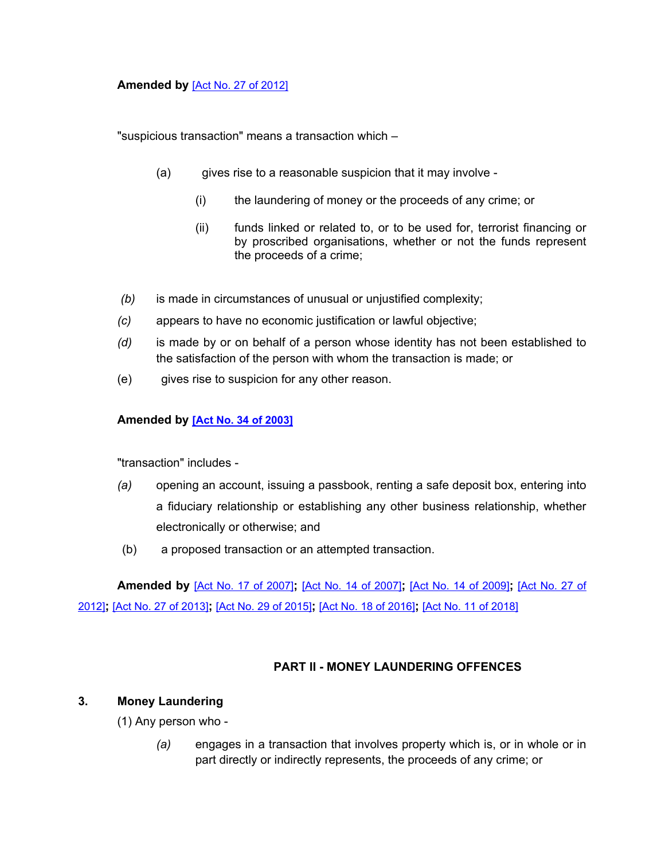### **Amended by** [Act No. 27 of [2012\]](https://supremecourt.govmu.org/_layouts/CLIS.DMS/search/searchdocumentbykey.aspx?ID=%5BAct%20No.%2027%20of%202012%5D&list=Legislations)

"suspicious transaction" means a transaction which –

- (a) gives rise to a reasonable suspicion that it may involve
	- (i) the laundering of money or the proceeds of any crime; or
	- (ii) funds linked or related to, or to be used for, terrorist financing or by proscribed organisations, whether or not the funds represent the proceeds of a crime;
- *(b)* is made in circumstances of unusual or unjustified complexity;
- *(c)* appears to have no economic justification or lawful objective;
- *(d)* is made by or on behalf of a person whose identity has not been established to the satisfaction of the person with whom the transaction is made; or
- (e) gives rise to suspicion for any other reason.

#### **Amended by [Act No. 34 of [2003\]](https://supremecourt.govmu.org/_layouts/CLIS.DMS/search/searchdocumentbykey.aspx?ID=%5BAct%20No.%2034%20of%202003%5D&list=Legislations)**

"transaction" includes -

- *(a)* opening an account, issuing a passbook, renting a safe deposit box, entering into a fiduciary relationship or establishing any other business relationship, whether electronically or otherwise; and
- (b) a proposed transaction or an attempted transaction.

**Amended by** [Act No. 17 of [2007\]](https://supremecourt.govmu.org/_layouts/CLIS.DMS/search/searchdocumentbykey.aspx?ID=%5BAct%20No.%2017%20of%202007%5D&list=Legislations)**;** [Act No. 14 of [2007\]](https://supremecourt.govmu.org/_layouts/CLIS.DMS/search/searchdocumentbykey.aspx?ID=%5BAct%20No.%2014%20of%202007%5D&list=Legislations)**;** [Act No. 14 of [2009\]](https://supremecourt.govmu.org/_layouts/CLIS.DMS/search/searchdocumentbykey.aspx?ID=%5BAct%20No.%2014%20of%202009%5D&list=Legislations)**;** [\[Act](https://supremecourt.govmu.org/_layouts/CLIS.DMS/search/searchdocumentbykey.aspx?ID=%5BAct%20No.%2027%20of%202012%5D&list=Legislations) No. 27 of [2012\]](https://supremecourt.govmu.org/_layouts/CLIS.DMS/search/searchdocumentbykey.aspx?ID=%5BAct%20No.%2027%20of%202012%5D&list=Legislations)**;** [Act No. 27 of [2013\]](https://supremecourt.govmu.org/_layouts/CLIS.DMS/search/searchdocumentbykey.aspx?ID=%5BAct%20No.%2027%20of%202013%5D&list=Legislations)**;** [Act No. 29 of [2015\]](https://supremecourt.govmu.org/_layouts/CLIS.DMS/search/searchdocumentbykey.aspx?ID=%5BAct%20No.%2029%20of%202015%5D&list=Legislations)**;** [Act No. 18 of [2016\]](https://supremecourt.govmu.org/_layouts/CLIS.DMS/search/searchdocumentbykey.aspx?ID=%5BAct%20No.%2018%20of%202016%5D&list=Legislations)**;** [Act No. 11 of [2018\]](https://supremecourt.govmu.org/_layouts/CLIS.DMS/search/searchdocumentbykey.aspx?ID=%5BAct%20No.%2011%20of%202018%5D&list=Legislations)

### **PART II - MONEY LAUNDERING OFFENCES**

#### <span id="page-8-0"></span>**3. Money Laundering**

(1) Any person who -

*(a)* engages in a transaction that involves property which is, or in whole or in part directly or indirectly represents, the proceeds of any crime; or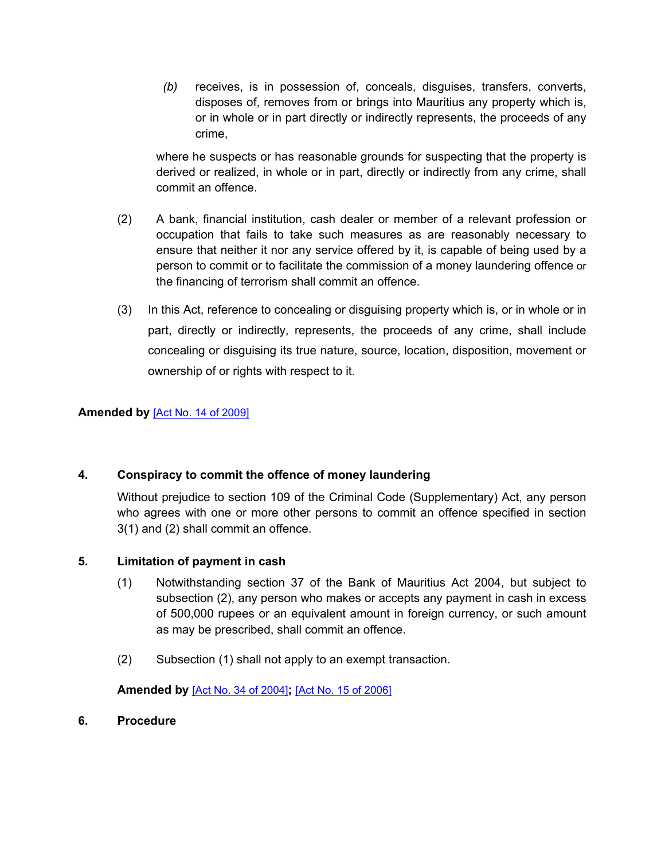*(b)* receives, is in possession of, conceals, disguises, transfers, converts, disposes of, removes from or brings into Mauritius any property which is, or in whole or in part directly or indirectly represents, the proceeds of any crime,

where he suspects or has reasonable grounds for suspecting that the property is derived or realized, in whole or in part, directly or indirectly from any crime, shall commit an offence.

- (2) A bank, financial institution, cash dealer or member of a relevant profession or occupation that fails to take such measures as are reasonably necessary to ensure that neither it nor any service offered by it, is capable of being used by a person to commit or to facilitate the commission of a money laundering offence or the financing of terrorism shall commit an offence.
- (3) In this Act, reference to concealing or disguising property which is, or in whole or in part, directly or indirectly, represents, the proceeds of any crime, shall include concealing or disguising its true nature, source, location, disposition, movement or ownership of or rights with respect to it.

### **Amended by** [Act No. 14 of [2009\]](https://supremecourt.govmu.org/_layouts/CLIS.DMS/search/searchdocumentbykey.aspx?ID=%5BAct%20No.%2014%20of%202009%5D&list=Legislations)

### <span id="page-9-0"></span>**4. Conspiracy to commit the offence of money laundering**

Without prejudice to section 109 of the Criminal Code (Supplementary) Act, any person who agrees with one or more other persons to commit an offence specified in section 3(1) and (2) shall commit an offence.

### <span id="page-9-1"></span>**5. Limitation of payment in cash**

- (1) Notwithstanding section 37 of the Bank of Mauritius Act 2004, but subject to subsection (2), any person who makes or accepts any payment in cash in excess of 500,000 rupees or an equivalent amount in foreign currency, or such amount as may be prescribed, shall commit an offence.
- (2) Subsection (1) shall not apply to an exempt transaction.

**Amended by** [Act No. 34 of [2004\]](https://supremecourt.govmu.org/_layouts/CLIS.DMS/search/searchdocumentbykey.aspx?ID=%5BAct%20No.%2034%20of%202004%5D&list=Legislations)**;** [Act No. 15 of [2006\]](https://supremecourt.govmu.org/_layouts/CLIS.DMS/search/searchdocumentbykey.aspx?ID=%5BAct%20No.%2015%20of%202006%5D&list=Legislations)

<span id="page-9-2"></span>**6. Procedure**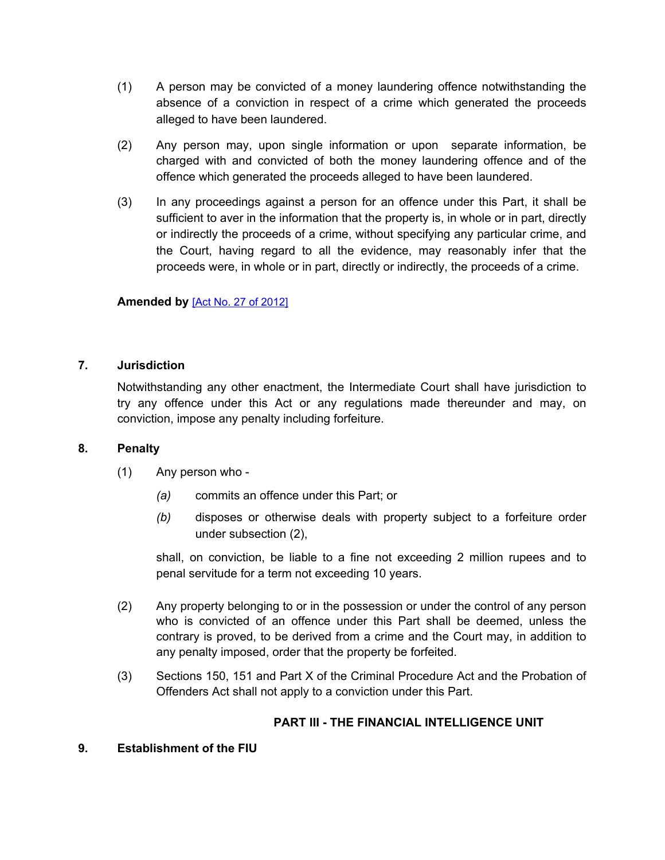- (1) A person may be convicted of a money laundering offence notwithstanding the absence of a conviction in respect of a crime which generated the proceeds alleged to have been laundered.
- (2) Any person may, upon single information or upon separate information, be charged with and convicted of both the money laundering offence and of the offence which generated the proceeds alleged to have been laundered.
- (3) In any proceedings against a person for an offence under this Part, it shall be sufficient to aver in the information that the property is, in whole or in part, directly or indirectly the proceeds of a crime, without specifying any particular crime, and the Court, having regard to all the evidence, may reasonably infer that the proceeds were, in whole or in part, directly or indirectly, the proceeds of a crime.

### **Amended by** [Act No. 27 of [2012\]](https://supremecourt.govmu.org/_layouts/CLIS.DMS/search/searchdocumentbykey.aspx?ID=%5BAct%20No.%2027%20of%202012%5D&list=Legislations)

### <span id="page-10-0"></span>**7. Jurisdiction**

Notwithstanding any other enactment, the Intermediate Court shall have jurisdiction to try any offence under this Act or any regulations made thereunder and may, on conviction, impose any penalty including forfeiture.

### <span id="page-10-1"></span>**8. Penalty**

- (1) Any person who
	- *(a)* commits an offence under this Part; or
	- *(b)* disposes or otherwise deals with property subject to a forfeiture order under subsection (2),

shall, on conviction, be liable to a fine not exceeding 2 million rupees and to penal servitude for a term not exceeding 10 years.

- (2) Any property belonging to or in the possession or under the control of any person who is convicted of an offence under this Part shall be deemed, unless the contrary is proved, to be derived from a crime and the Court may, in addition to any penalty imposed, order that the property be forfeited.
- (3) Sections 150, 151 and Part X of the Criminal Procedure Act and the Probation of Offenders Act shall not apply to a conviction under this Part.

### **PART III - THE FINANCIAL INTELLIGENCE UNIT**

### <span id="page-10-2"></span>**9. Establishment of the FIU**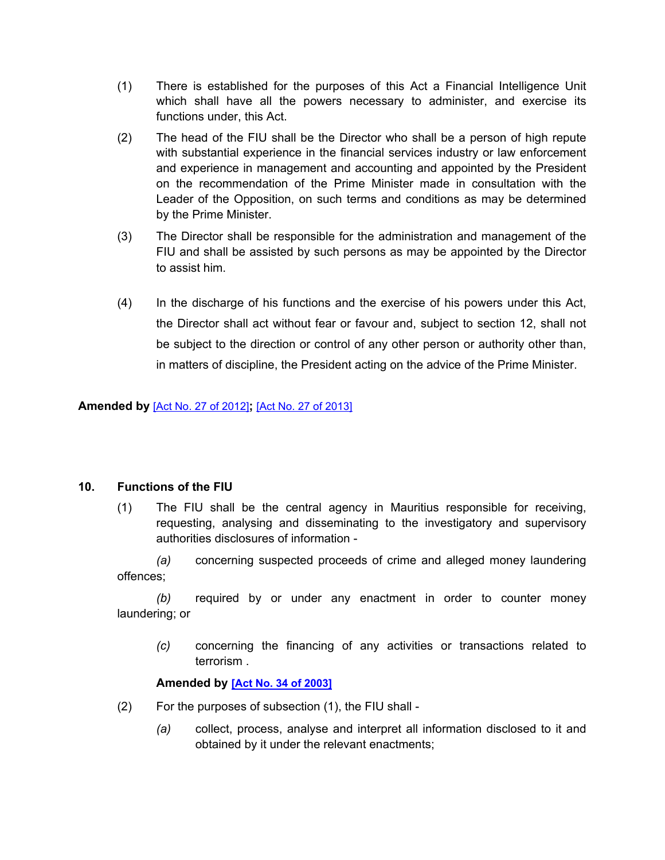- (1) There is established for the purposes of this Act a Financial Intelligence Unit which shall have all the powers necessary to administer, and exercise its functions under, this Act.
- (2) The head of the FIU shall be the Director who shall be a person of high repute with substantial experience in the financial services industry or law enforcement and experience in management and accounting and appointed by the President on the recommendation of the Prime Minister made in consultation with the Leader of the Opposition, on such terms and conditions as may be determined by the Prime Minister.
- (3) The Director shall be responsible for the administration and management of the FIU and shall be assisted by such persons as may be appointed by the Director to assist him.
- (4) In the discharge of his functions and the exercise of his powers under this Act, the Director shall act without fear or favour and, subject to section 12, shall not be subject to the direction or control of any other person or authority other than, in matters of discipline, the President acting on the advice of the Prime Minister.

### **Amended by** [Act No. 27 of [2012\]](https://supremecourt.govmu.org/_layouts/CLIS.DMS/search/searchdocumentbykey.aspx?ID=%5BAct%20No.%2027%20of%202012%5D&list=Legislations)**;** [Act No. 27 of [2013\]](https://supremecourt.govmu.org/_layouts/CLIS.DMS/search/searchdocumentbykey.aspx?ID=%5BAct%20No.%2027%20of%202013%5D&list=Legislations)

### <span id="page-11-0"></span>**10. Functions of the FIU**

(1) The FIU shall be the central agency in Mauritius responsible for receiving, requesting, analysing and disseminating to the investigatory and supervisory authorities disclosures of information -

*(a)* concerning suspected proceeds of crime and alleged money laundering offences;

*(b)* required by or under any enactment in order to counter money laundering; or

*(c)* concerning the financing of any activities or transactions related to terrorism .

#### **Amended by [Act No. 34 of [2003\]](https://supremecourt.govmu.org/_layouts/CLIS.DMS/search/searchdocumentbykey.aspx?ID=%5BAct%20No.%2034%20of%202003%5D&list=Legislations)**

- (2) For the purposes of subsection (1), the FIU shall
	- *(a)* collect, process, analyse and interpret all information disclosed to it and obtained by it under the relevant enactments;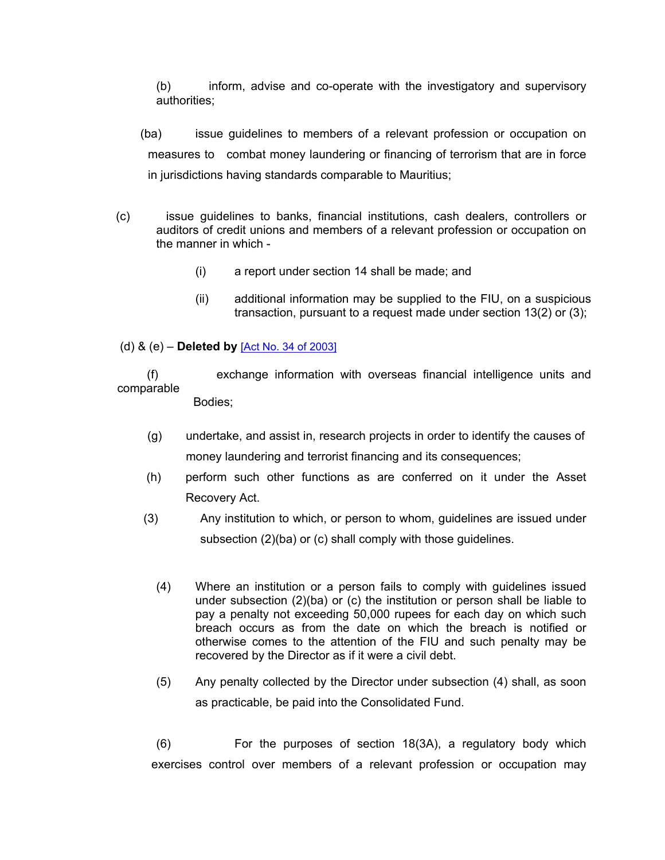(b) inform, advise and co-operate with the investigatory and supervisory authorities;

 (ba) issue guidelines to members of a relevant profession or occupation on measures to combat money laundering or financing of terrorism that are in force in jurisdictions having standards comparable to Mauritius;

- (c) issue guidelines to banks, financial institutions, cash dealers, controllers or auditors of credit unions and members of a relevant profession or occupation on the manner in which -
	- (i) a report under section 14 shall be made; and
	- (ii) additional information may be supplied to the FIU, on a suspicious transaction, pursuant to a request made under section 13(2) or (3);

### (d) & (e) – **Deleted by** [Act No. 34 of [2003\]](https://supremecourt.govmu.org/_layouts/CLIS.DMS/search/searchdocumentbykey.aspx?ID=%5BAct%20No.%2034%20of%202003%5D&list=Legislations)

 (f) exchange information with overseas financial intelligence units and comparable

Bodies;

- (g) undertake, and assist in, research projects in order to identify the causes of money laundering and terrorist financing and its consequences;
- (h) perform such other functions as are conferred on it under the Asset Recovery Act.
- (3) Any institution to which, or person to whom, guidelines are issued under subsection (2)(ba) or (c) shall comply with those guidelines.
	- (4) Where an institution or a person fails to comply with guidelines issued under subsection (2)(ba) or (c) the institution or person shall be liable to pay a penalty not exceeding 50,000 rupees for each day on which such breach occurs as from the date on which the breach is notified or otherwise comes to the attention of the FIU and such penalty may be recovered by the Director as if it were a civil debt.
	- (5) Any penalty collected by the Director under subsection (4) shall, as soon as practicable, be paid into the Consolidated Fund.

(6) For the purposes of section 18(3A), a regulatory body which exercises control over members of a relevant profession or occupation may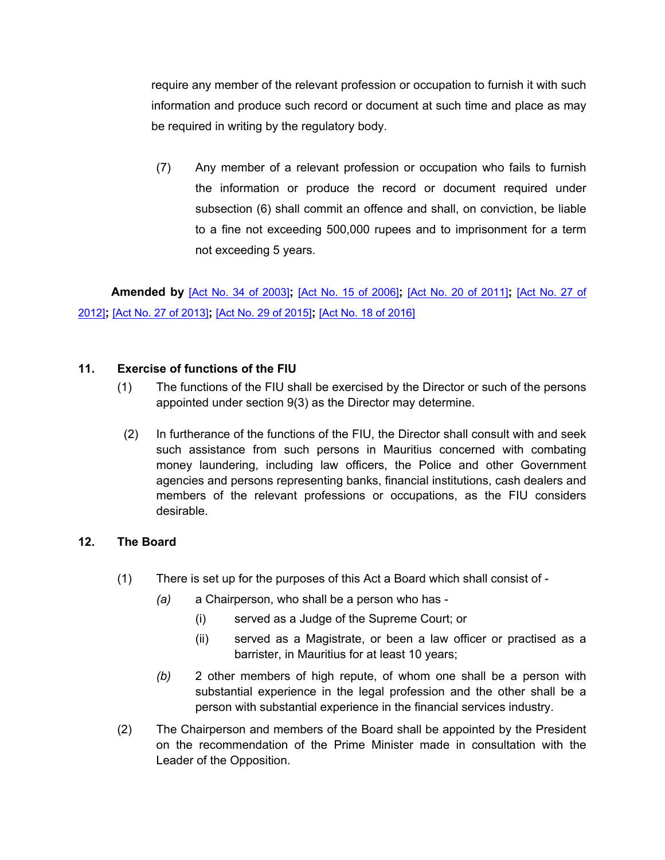require any member of the relevant profession or occupation to furnish it with such information and produce such record or document at such time and place as may be required in writing by the regulatory body.

(7) Any member of a relevant profession or occupation who fails to furnish the information or produce the record or document required under subsection (6) shall commit an offence and shall, on conviction, be liable to a fine not exceeding 500,000 rupees and to imprisonment for a term not exceeding 5 years.

 **Amended by** [Act No. 34 of [2003\]](https://supremecourt.govmu.org/_layouts/CLIS.DMS/search/searchdocumentbykey.aspx?ID=%5BAct%20No.%2034%20of%202003%5D&list=Legislations)**;** [Act No. 15 of [2006\]](https://supremecourt.govmu.org/_layouts/CLIS.DMS/search/searchdocumentbykey.aspx?ID=%5BAct%20No.%2015%20of%202006%5D&list=Legislations)**;** [Act No. 20 of [2011\]](https://supremecourt.govmu.org/_layouts/CLIS.DMS/search/searchdocumentbykey.aspx?ID=%5BAct%20No.%2020%20of%202011%5D&list=Legislations)**;** [\[Act](https://supremecourt.govmu.org/_layouts/CLIS.DMS/search/searchdocumentbykey.aspx?ID=%5BAct%20No.%2027%20of%202012%5D&list=Legislations) No. 27 of [2012\]](https://supremecourt.govmu.org/_layouts/CLIS.DMS/search/searchdocumentbykey.aspx?ID=%5BAct%20No.%2027%20of%202012%5D&list=Legislations)**;** [Act No. 27 of [2013\]](https://supremecourt.govmu.org/_layouts/CLIS.DMS/search/searchdocumentbykey.aspx?ID=%5BAct%20No.%2027%20of%202013%5D&list=Legislations)**;** [Act No. 29 of [2015\]](https://supremecourt.govmu.org/_layouts/CLIS.DMS/search/searchdocumentbykey.aspx?ID=%5BAct%20No.%2029%20of%202015%5D&list=Legislations)**;** [Act No. 18 of [2016\]](https://supremecourt.govmu.org/_layouts/CLIS.DMS/search/searchdocumentbykey.aspx?ID=%5BAct%20No.%2018%20of%202016%5D&list=Legislations)

### <span id="page-13-0"></span>**11. Exercise of functions of the FIU**

- (1) The functions of the FIU shall be exercised by the Director or such of the persons appointed under section 9(3) as the Director may determine.
- (2) In furtherance of the functions of the FIU, the Director shall consult with and seek such assistance from such persons in Mauritius concerned with combating money laundering, including law officers, the Police and other Government agencies and persons representing banks, financial institutions, cash dealers and members of the relevant professions or occupations, as the FIU considers desirable.

### <span id="page-13-1"></span>**12. The Board**

- (1) There is set up for the purposes of this Act a Board which shall consist of
	- *(a)* a Chairperson, who shall be a person who has
		- (i) served as a Judge of the Supreme Court; or
		- (ii) served as a Magistrate, or been a law officer or practised as a barrister, in Mauritius for at least 10 years;
	- *(b)* 2 other members of high repute, of whom one shall be a person with substantial experience in the legal profession and the other shall be a person with substantial experience in the financial services industry.
- (2) The Chairperson and members of the Board shall be appointed by the President on the recommendation of the Prime Minister made in consultation with the Leader of the Opposition.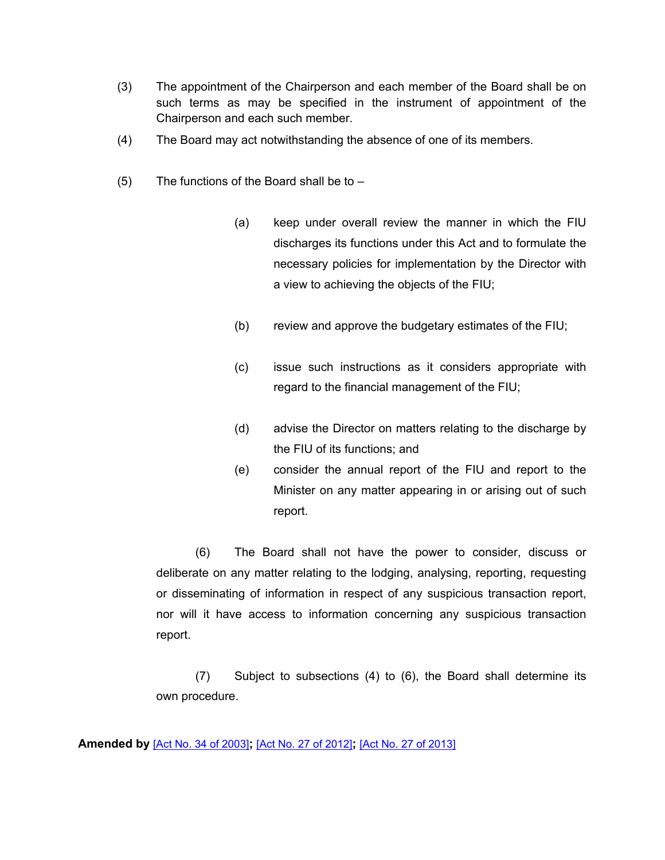- (3) The appointment of the Chairperson and each member of the Board shall be on such terms as may be specified in the instrument of appointment of the Chairperson and each such member.
- (4) The Board may act notwithstanding the absence of one of its members.
- (5) The functions of the Board shall be to  $-$ 
	- (a) keep under overall review the manner in which the FIU discharges its functions under this Act and to formulate the necessary policies for implementation by the Director with a view to achieving the objects of the FIU;
	- (b) review and approve the budgetary estimates of the FIU;
	- (c) issue such instructions as it considers appropriate with regard to the financial management of the FIU;
	- (d) advise the Director on matters relating to the discharge by the FIU of its functions; and
	- (e) consider the annual report of the FIU and report to the Minister on any matter appearing in or arising out of such report.

(6) The Board shall not have the power to consider, discuss or deliberate on any matter relating to the lodging, analysing, reporting, requesting or disseminating of information in respect of any suspicious transaction report, nor will it have access to information concerning any suspicious transaction report.

(7) Subject to subsections (4) to (6), the Board shall determine its own procedure.

**Amended by** [Act No. 34 of [2003\]](https://supremecourt.govmu.org/_layouts/CLIS.DMS/search/searchdocumentbykey.aspx?ID=%5BAct%20No.%2034%20of%202003%5D&list=Legislations)**;** [Act No. 27 of [2012\]](https://supremecourt.govmu.org/_layouts/CLIS.DMS/search/searchdocumentbykey.aspx?ID=%5BAct%20No.%2027%20of%202012%5D&list=Legislations)**;** [Act No. 27 of [2013\]](https://supremecourt.govmu.org/_layouts/CLIS.DMS/search/searchdocumentbykey.aspx?ID=%5BAct%20No.%2027%20of%202013%5D&list=Legislations)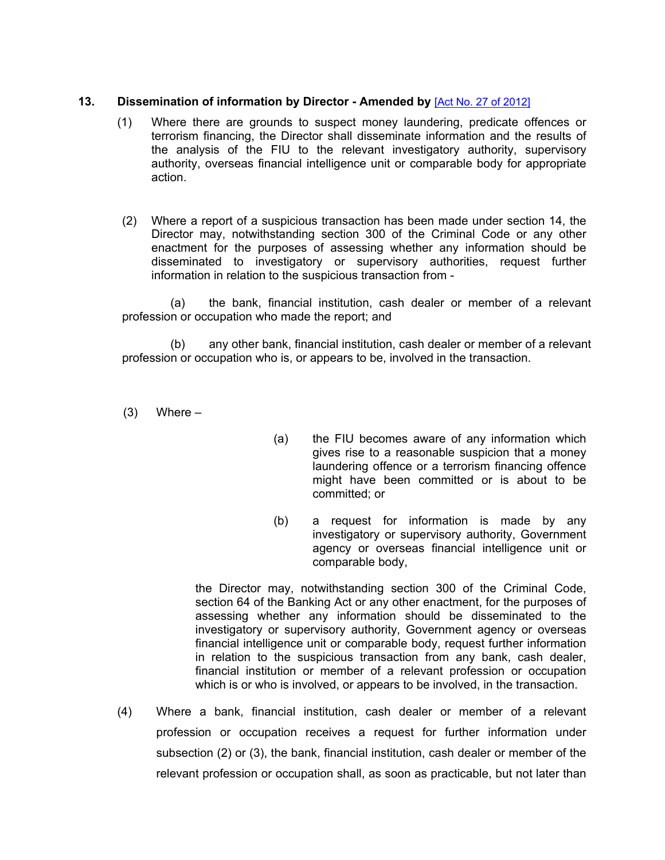### <span id="page-15-0"></span>**13. Dissemination of information by Director - Amended by** [Act No. 27 of [2012\]](https://supremecourt.govmu.org/_layouts/CLIS.DMS/search/searchdocumentbykey.aspx?ID=%5BAct%20No.%2027%20of%202012%5D&list=Legislations)

- (1) Where there are grounds to suspect money laundering, predicate offences or terrorism financing, the Director shall disseminate information and the results of the analysis of the FIU to the relevant investigatory authority, supervisory authority, overseas financial intelligence unit or comparable body for appropriate action.
- (2) Where a report of a suspicious transaction has been made under section 14, the Director may, notwithstanding section 300 of the Criminal Code or any other enactment for the purposes of assessing whether any information should be disseminated to investigatory or supervisory authorities, request further information in relation to the suspicious transaction from -

(a) the bank, financial institution, cash dealer or member of a relevant profession or occupation who made the report; and

(b) any other bank, financial institution, cash dealer or member of a relevant profession or occupation who is, or appears to be, involved in the transaction.

 $(3)$  Where –

- (a) the FIU becomes aware of any information which gives rise to a reasonable suspicion that a money laundering offence or a terrorism financing offence might have been committed or is about to be committed; or
- (b) a request for information is made by any investigatory or supervisory authority, Government agency or overseas financial intelligence unit or comparable body,

the Director may, notwithstanding section 300 of the Criminal Code, section 64 of the Banking Act or any other enactment, for the purposes of assessing whether any information should be disseminated to the investigatory or supervisory authority, Government agency or overseas financial intelligence unit or comparable body, request further information in relation to the suspicious transaction from any bank, cash dealer, financial institution or member of a relevant profession or occupation which is or who is involved, or appears to be involved, in the transaction.

(4) Where a bank, financial institution, cash dealer or member of a relevant profession or occupation receives a request for further information under subsection (2) or (3), the bank, financial institution, cash dealer or member of the relevant profession or occupation shall, as soon as practicable, but not later than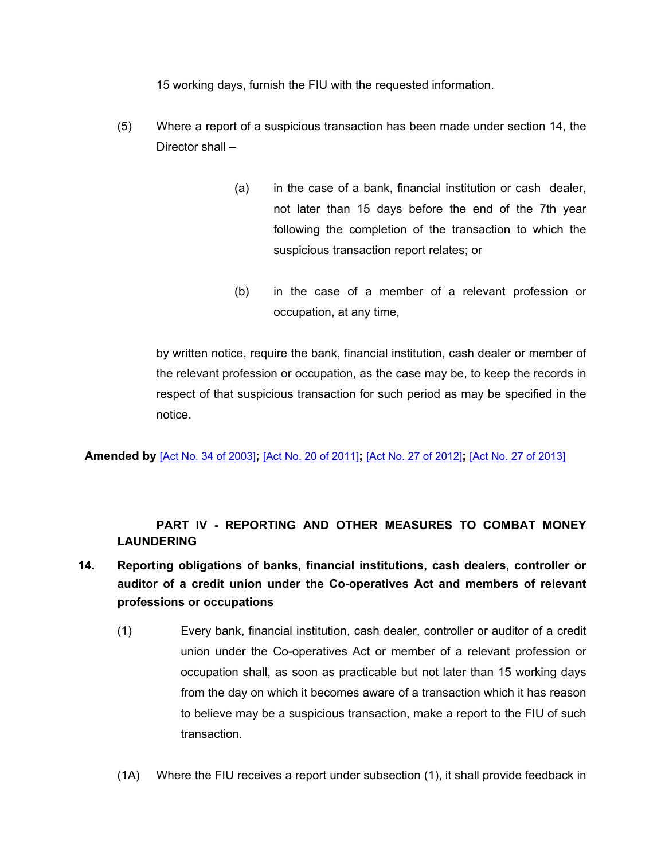15 working days, furnish the FIU with the requested information.

- (5) Where a report of a suspicious transaction has been made under section 14, the Director shall –
	- (a) in the case of a bank, financial institution or cash dealer, not later than 15 days before the end of the 7th year following the completion of the transaction to which the suspicious transaction report relates; or
	- (b) in the case of a member of a relevant profession or occupation, at any time,

by written notice, require the bank, financial institution, cash dealer or member of the relevant profession or occupation, as the case may be, to keep the records in respect of that suspicious transaction for such period as may be specified in the notice.

**Amended by** [Act No. 34 of [2003\]](https://supremecourt.govmu.org/_layouts/CLIS.DMS/search/searchdocumentbykey.aspx?ID=%5BAct%20No.%2034%20of%202003%5D&list=Legislations)**;** [Act No. 20 of [2011\]](https://supremecourt.govmu.org/_layouts/CLIS.DMS/search/searchdocumentbykey.aspx?ID=%5BAct%20No.%2020%20of%202011%5D&list=Legislations)**;** [Act No. 27 of [2012\]](https://supremecourt.govmu.org/_layouts/CLIS.DMS/search/searchdocumentbykey.aspx?ID=%5BAct%20No.%2027%20of%202012%5D&list=Legislations)**;** [Act No. 27 of [2013\]](https://supremecourt.govmu.org/_layouts/CLIS.DMS/search/searchdocumentbykey.aspx?ID=%5BAct%20No.%2027%20of%202013%5D&list=Legislations)

## **PART IV - REPORTING AND OTHER MEASURES TO COMBAT MONEY LAUNDERING**

- <span id="page-16-0"></span>**14. Reporting obligations of banks, financial institutions, cash dealers, controller or auditor of a credit union under the Co-operatives Act and members of relevant professions or occupations**
	- (1) Every bank, financial institution, cash dealer, controller or auditor of a credit union under the Co-operatives Act or member of a relevant profession or occupation shall, as soon as practicable but not later than 15 working days from the day on which it becomes aware of a transaction which it has reason to believe may be a suspicious transaction, make a report to the FIU of such transaction.
	- (1A) Where the FIU receives a report under subsection (1), it shall provide feedback in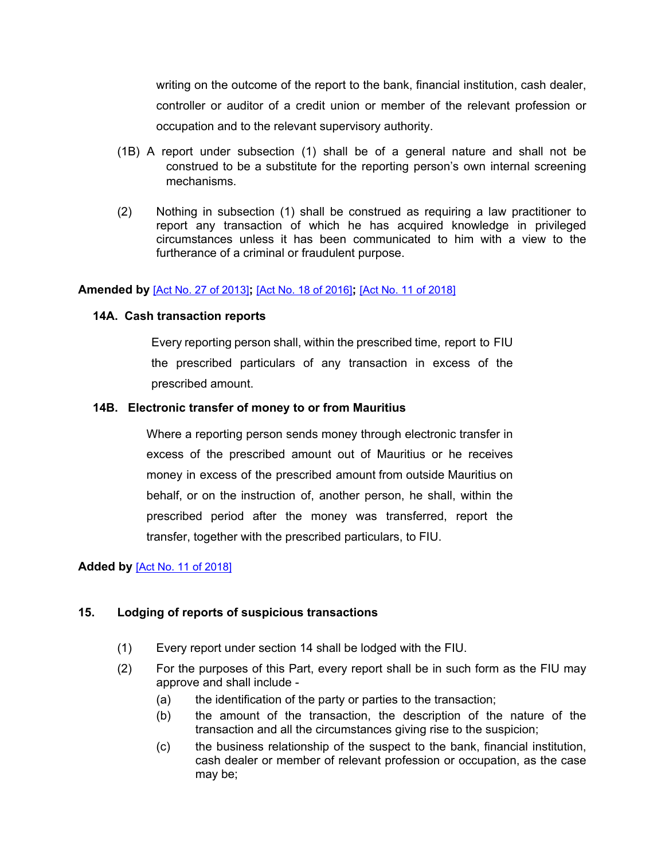writing on the outcome of the report to the bank, financial institution, cash dealer, controller or auditor of a credit union or member of the relevant profession or occupation and to the relevant supervisory authority.

- (1B) A report under subsection (1) shall be of a general nature and shall not be construed to be a substitute for the reporting person's own internal screening mechanisms.
- (2) Nothing in subsection (1) shall be construed as requiring a law practitioner to report any transaction of which he has acquired knowledge in privileged circumstances unless it has been communicated to him with a view to the furtherance of a criminal or fraudulent purpose.

#### <span id="page-17-0"></span>**Amended by** [Act No. 27 of [2013\]](https://supremecourt.govmu.org/_layouts/CLIS.DMS/search/searchdocumentbykey.aspx?ID=%5BAct%20No.%2027%20of%202013%5D&list=Legislations)**;** [Act No. 18 of [2016\]](https://supremecourt.govmu.org/_layouts/CLIS.DMS/search/searchdocumentbykey.aspx?ID=%5BAct%20No.%2018%20of%202016%5D&list=Legislations)**;** [Act No. 11 of [2018\]](https://supremecourt.govmu.org/_layouts/CLIS.DMS/search/searchdocumentbykey.aspx?ID=%5BAct%20No.%2011%20of%202018%5D&list=Legislations)

#### **14A. Cash transaction reports**

Every reporting person shall, within the prescribed time, report to FIU the prescribed particulars of any transaction in excess of the prescribed amount.

#### **14B. Electronic transfer of money to or from Mauritius**

Where a reporting person sends money through electronic transfer in excess of the prescribed amount out of Mauritius or he receives money in excess of the prescribed amount from outside Mauritius on behalf, or on the instruction of, another person, he shall, within the prescribed period after the money was transferred, report the transfer, together with the prescribed particulars, to FIU.

### **Added by** [Act No. 11 of [2018\]](https://supremecourt.govmu.org/_layouts/CLIS.DMS/search/searchdocumentbykey.aspx?ID=%5BAct%20No.%2011%20of%202018%5D&list=Legislations)

### **15. Lodging of reports of suspicious transactions**

- (1) Every report under section 14 shall be lodged with the FIU.
- (2) For the purposes of this Part, every report shall be in such form as the FIU may approve and shall include -
	- (a) the identification of the party or parties to the transaction;
	- (b) the amount of the transaction, the description of the nature of the transaction and all the circumstances giving rise to the suspicion;
	- (c) the business relationship of the suspect to the bank, financial institution, cash dealer or member of relevant profession or occupation, as the case may be;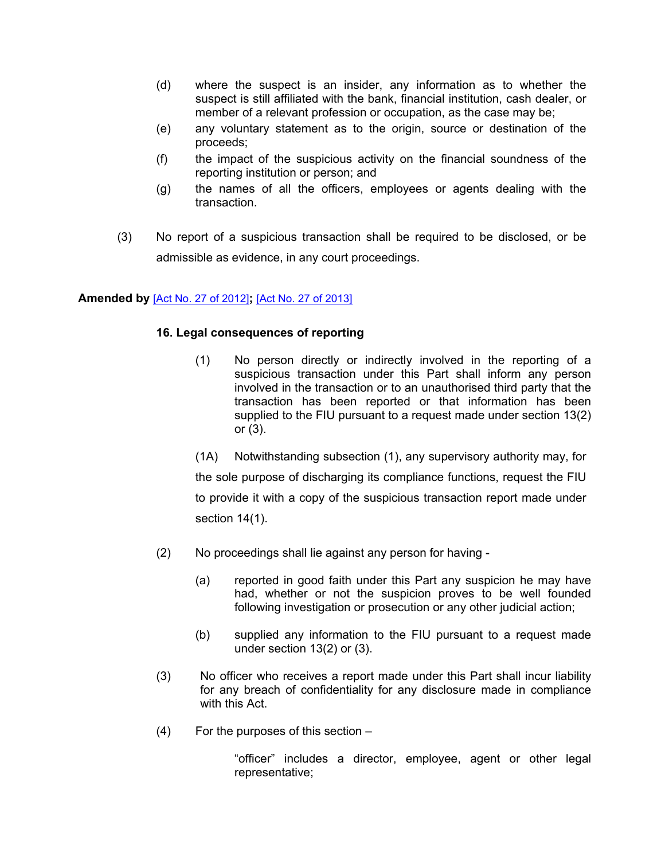- (d) where the suspect is an insider, any information as to whether the suspect is still affiliated with the bank, financial institution, cash dealer, or member of a relevant profession or occupation, as the case may be;
- (e) any voluntary statement as to the origin, source or destination of the proceeds;
- (f) the impact of the suspicious activity on the financial soundness of the reporting institution or person; and
- (g) the names of all the officers, employees or agents dealing with the transaction.
- <span id="page-18-0"></span>(3) No report of a suspicious transaction shall be required to be disclosed, or be admissible as evidence, in any court proceedings.

#### **Amended by** [Act No. 27 of [2012\]](https://supremecourt.govmu.org/_layouts/CLIS.DMS/search/searchdocumentbykey.aspx?ID=%5BAct%20No.%2027%20of%202012%5D&list=Legislations)**;** [Act No. 27 of [2013\]](https://supremecourt.govmu.org/_layouts/CLIS.DMS/search/searchdocumentbykey.aspx?ID=%5BAct%20No.%2027%20of%202013%5D&list=Legislations)

#### **16. Legal consequences of reporting**

(1) No person directly or indirectly involved in the reporting of a suspicious transaction under this Part shall inform any person involved in the transaction or to an unauthorised third party that the transaction has been reported or that information has been supplied to the FIU pursuant to a request made under section 13(2) or (3).

(1A) Notwithstanding subsection (1), any supervisory authority may, for the sole purpose of discharging its compliance functions, request the FIU to provide it with a copy of the suspicious transaction report made under section 14(1).

- (2) No proceedings shall lie against any person for having
	- (a) reported in good faith under this Part any suspicion he may have had, whether or not the suspicion proves to be well founded following investigation or prosecution or any other judicial action;
	- (b) supplied any information to the FIU pursuant to a request made under section 13(2) or (3).
- (3) No officer who receives a report made under this Part shall incur liability for any breach of confidentiality for any disclosure made in compliance with this Act.
- (4) For the purposes of this section –

"officer" includes a director, employee, agent or other legal representative;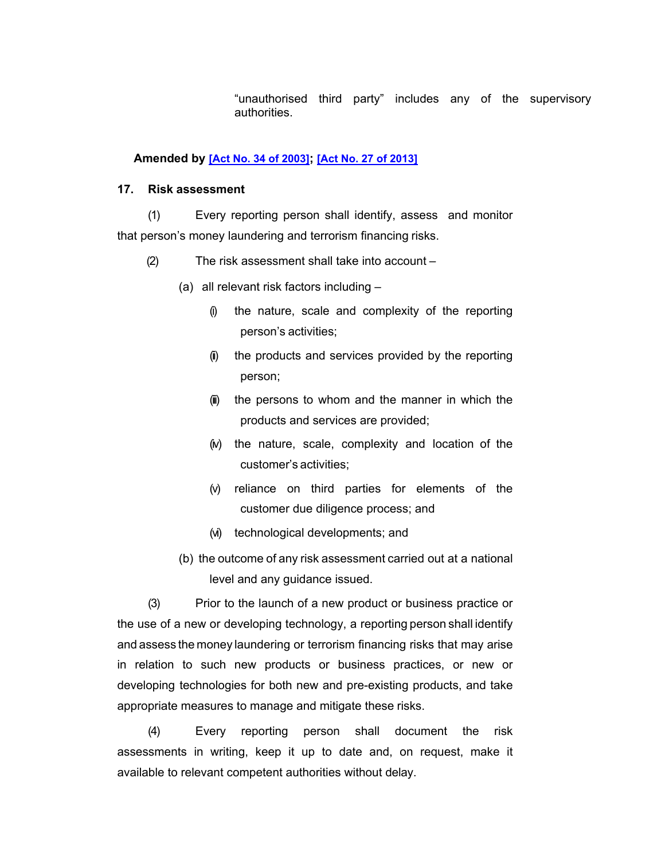"unauthorised third party" includes any of the supervisory authorities.

#### **Amended by [Act No. 34 of [2003\]](https://supremecourt.govmu.org/_layouts/CLIS.DMS/search/searchdocumentbykey.aspx?ID=%5BAct%20No.%2034%20of%202003%5D&list=Legislations); [Act No. 27 of [2013\]](https://supremecourt.govmu.org/_layouts/CLIS.DMS/search/searchdocumentbykey.aspx?ID=%5BAct%20No.%2027%20of%202013%5D&list=Legislations)**

#### **17. Risk assessment**

(1) Every reporting person shall identify, assess and monitor that person's money laundering and terrorism financing risks.

- (2) The risk assessment shall take into account
	- (a) all relevant risk factors including
		- (i) the nature, scale and complexity of the reporting person's activities;
		- (ii) the products and services provided by the reporting person;
		- (iii) the persons to whom and the manner in which the products and services are provided;
		- (iv) the nature, scale, complexity and location of the customer's activities;
		- (v) reliance on third parties for elements of the customer due diligence process; and
		- (vi) technological developments; and
	- (b) the outcome of any risk assessment carried out at a national level and any guidance issued.

(3) Prior to the launch of a new product or business practice or the use of a new or developing technology, a reporting person shall identify and assess the money laundering or terrorism financing risks that may arise in relation to such new products or business practices, or new or developing technologies for both new and pre-existing products, and take appropriate measures to manage and mitigate these risks.

(4) Every reporting person shall document the risk assessments in writing, keep it up to date and, on request, make it available to relevant competent authorities without delay.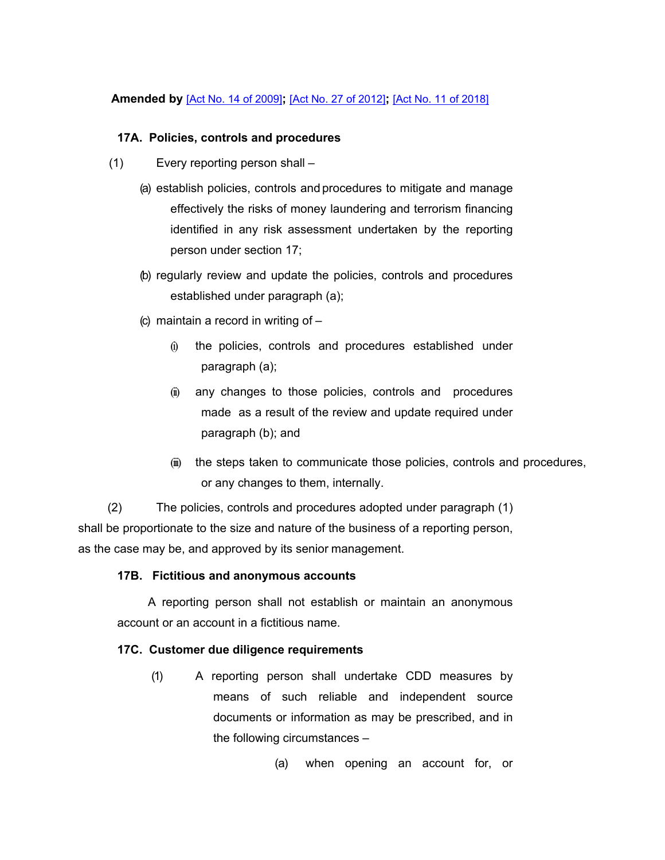#### **Amended by** [Act No. 14 of [2009\]](https://supremecourt.govmu.org/_layouts/CLIS.DMS/search/searchdocumentbykey.aspx?ID=%5BAct%20No.%2014%20of%202009%5D&list=Legislations)**;** [Act No. 27 of [2012\]](https://supremecourt.govmu.org/_layouts/CLIS.DMS/search/searchdocumentbykey.aspx?ID=%5BAct%20No.%2027%20of%202012%5D&list=Legislations)**;** [Act No. 11 of [2018\]](https://supremecourt.govmu.org/_layouts/CLIS.DMS/search/searchdocumentbykey.aspx?ID=%5BAct%20No.%2011%20of%202018%5D&list=Legislations)

#### **17A. Policies, controls and procedures**

- (1) Every reporting person shall
	- (a) establish policies, controls and procedures to mitigate and manage effectively the risks of money laundering and terrorism financing identified in any risk assessment undertaken by the reporting person under section 17;
	- (b) regularly review and update the policies, controls and procedures established under paragraph (a);
	- (c) maintain a record in writing of  $-$ 
		- (i) the policies, controls and procedures established under paragraph (a);
		- (ii) any changes to those policies, controls and procedures made as a result of the review and update required under paragraph (b); and
		- (iii) the steps taken to communicate those policies, controls and procedures, or any changes to them, internally.

(2) The policies, controls and procedures adopted under paragraph (1) shall be proportionate to the size and nature of the business of a reporting person, as the case may be, and approved by its senior management.

### **17B. Fictitious and anonymous accounts**

A reporting person shall not establish or maintain an anonymous account or an account in a fictitious name.

### **17C. Customer due diligence requirements**

(1) A reporting person shall undertake CDD measures by means of such reliable and independent source documents or information as may be prescribed, and in the following circumstances –

(a) when opening an account for, or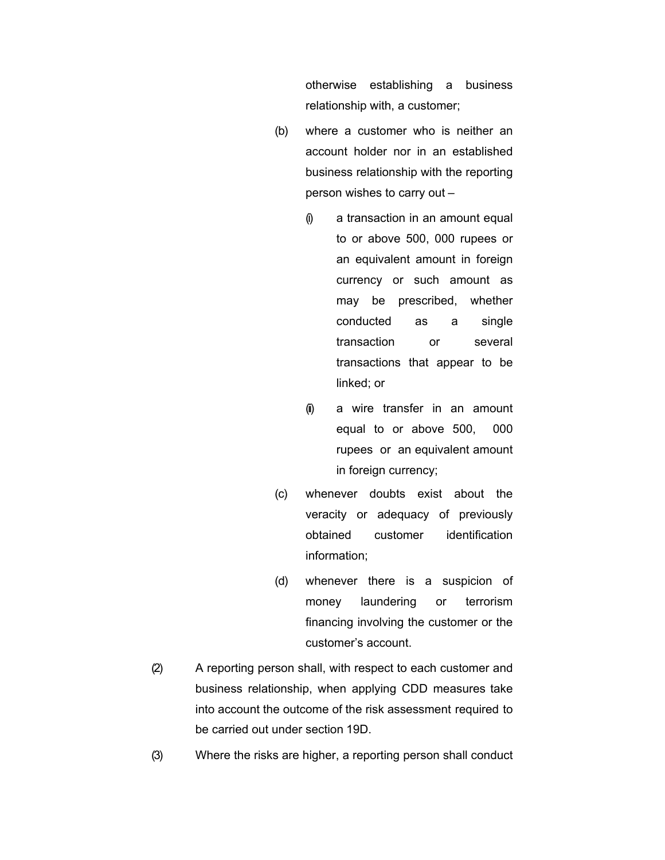otherwise establishing a business relationship with, a customer;

- (b) where a customer who is neither an account holder nor in an established business relationship with the reporting person wishes to carry out –
	- $(i)$  a transaction in an amount equal to or above 500, 000 rupees or an equivalent amount in foreign currency or such amount as may be prescribed, whether conducted as a single transaction or several transactions that appear to be linked; or
	- (ii) a wire transfer in an amount equal to or above 500, 000 rupees or an equivalent amount in foreign currency;
- (c) whenever doubts exist about the veracity or adequacy of previously obtained customer identification information;
- (d) whenever there is a suspicion of money laundering or terrorism financing involving the customer or the customer's account.
- (2) A reporting person shall, with respect to each customer and business relationship, when applying CDD measures take into account the outcome of the risk assessment required to be carried out under section 19D.
- (3) Where the risks are higher, a reporting person shall conduct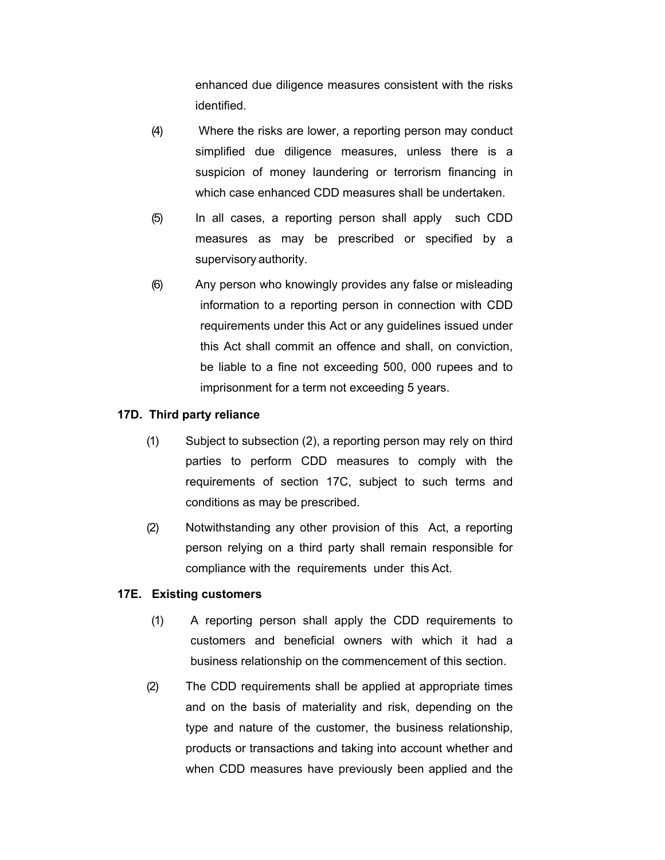enhanced due diligence measures consistent with the risks identified.

- (4) Where the risks are lower, a reporting person may conduct simplified due diligence measures, unless there is a suspicion of money laundering or terrorism financing in which case enhanced CDD measures shall be undertaken.
- (5) In all cases, a reporting person shall apply such CDD measures as may be prescribed or specified by a supervisory authority.
- (6) Any person who knowingly provides any false or misleading information to a reporting person in connection with CDD requirements under this Act or any guidelines issued under this Act shall commit an offence and shall, on conviction, be liable to a fine not exceeding 500, 000 rupees and to imprisonment for a term not exceeding 5 years.

#### **17D. Third party reliance**

- (1) Subject to subsection (2), a reporting person may rely on third parties to perform CDD measures to comply with the requirements of section 17C, subject to such terms and conditions as may be prescribed.
- (2) Notwithstanding any other provision of this Act, a reporting person relying on a third party shall remain responsible for compliance with the requirements under this Act.

#### **17E. Existing customers**

- (1) A reporting person shall apply the CDD requirements to customers and beneficial owners with which it had a business relationship on the commencement of this section.
- (2) The CDD requirements shall be applied at appropriate times and on the basis of materiality and risk, depending on the type and nature of the customer, the business relationship, products or transactions and taking into account whether and when CDD measures have previously been applied and the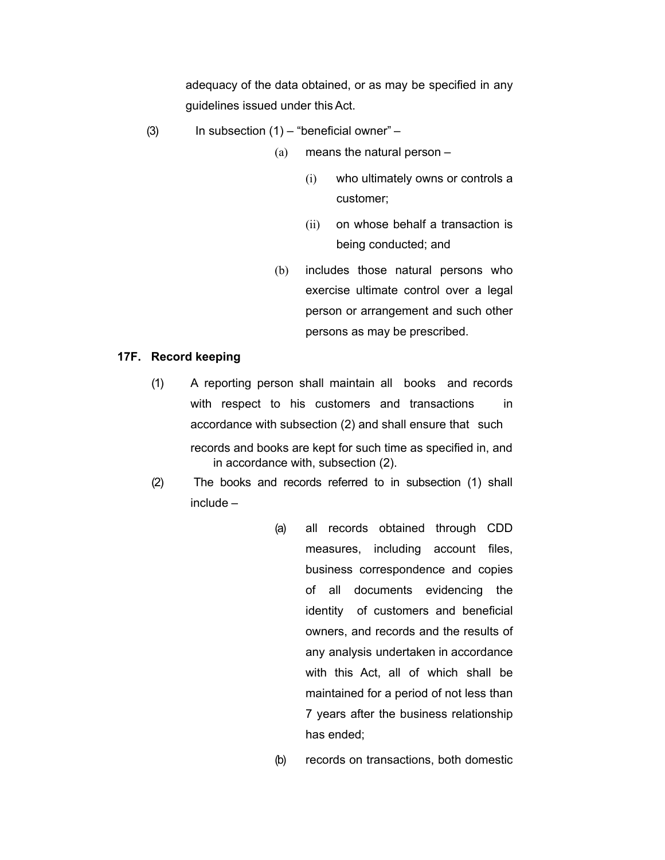adequacy of the data obtained, or as may be specified in any guidelines issued under thisAct.

- (3) In subsection  $(1)$  "beneficial owner"
	- (a) means the natural person
		- (i) who ultimately owns or controls a customer;
		- (ii) on whose behalf a transaction is being conducted; and
	- (b) includes those natural persons who exercise ultimate control over a legal person or arrangement and such other persons as may be prescribed.

#### **17F. Record keeping**

- (1) A reporting person shall maintain all books and records with respect to his customers and transactions in accordance with subsection (2) and shall ensure that such records and books are kept for such time as specified in, and in accordance with, subsection (2).
- (2) The books and records referred to in subsection (1) shall include –
	- (a) all records obtained through CDD measures, including account files, business correspondence and copies of all documents evidencing the identity of customers and beneficial owners, and records and the results of any analysis undertaken in accordance with this Act, all of which shall be maintained for a period of not less than 7 years after the business relationship has ended;
	- (b) records on transactions, both domestic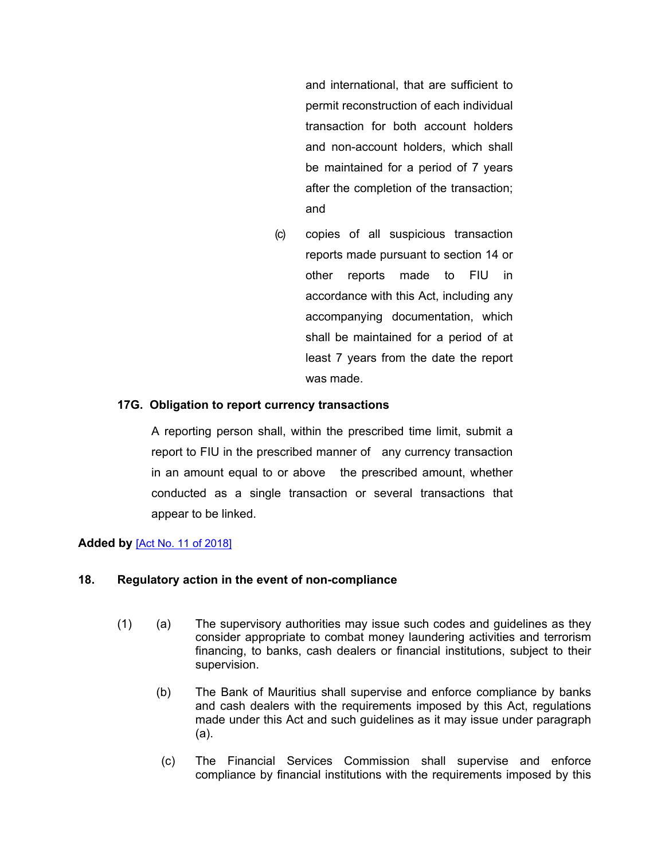and international, that are sufficient to permit reconstruction of each individual transaction for both account holders and non-account holders, which shall be maintained for a period of 7 years after the completion of the transaction; and

(c) copies of all suspicious transaction reports made pursuant to section 14 or other reports made to FIU in accordance with this Act, including any accompanying documentation, which shall be maintained for a period of at least 7 years from the date the report was made.

### **17G. Obligation to report currency transactions**

A reporting person shall, within the prescribed time limit, submit a report to FIU in the prescribed manner of any currency transaction in an amount equal to or above the prescribed amount, whether conducted as a single transaction or several transactions that appear to be linked.

### **Added by** [Act No. 11 of [2018\]](https://supremecourt.govmu.org/_layouts/CLIS.DMS/search/searchdocumentbykey.aspx?ID=%5BAct%20No.%2011%20of%202018%5D&list=Legislations)

### <span id="page-24-0"></span>**18. Regulatory action in the event of non-compliance**

- (1) (a) The supervisory authorities may issue such codes and guidelines as they consider appropriate to combat money laundering activities and terrorism financing, to banks, cash dealers or financial institutions, subject to their supervision.
	- (b) The Bank of Mauritius shall supervise and enforce compliance by banks and cash dealers with the requirements imposed by this Act, regulations made under this Act and such guidelines as it may issue under paragraph (a).
	- (c) The Financial Services Commission shall supervise and enforce compliance by financial institutions with the requirements imposed by this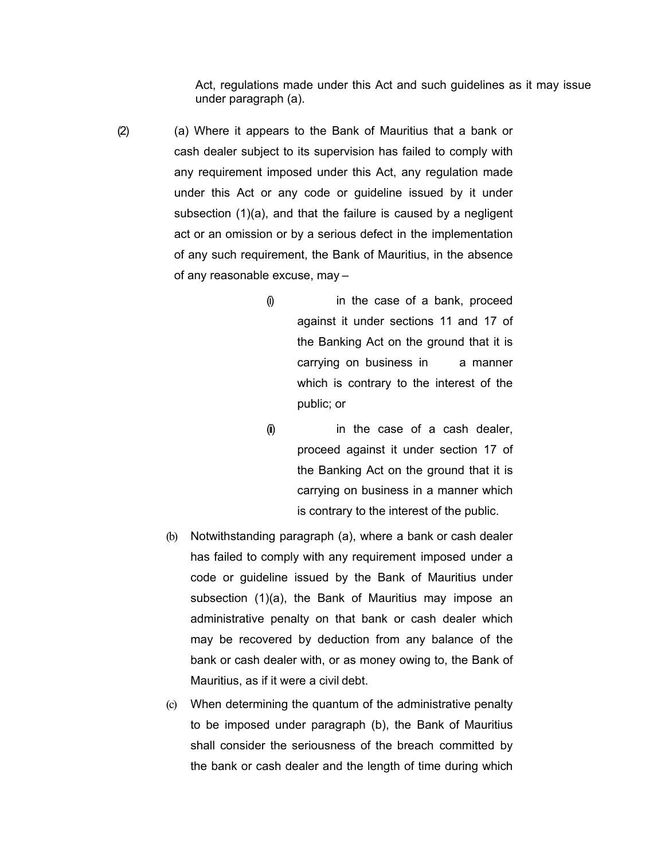Act, regulations made under this Act and such guidelines as it may issue under paragraph (a).

- (2) (a) Where it appears to the Bank of Mauritius that a bank or cash dealer subject to its supervision has failed to comply with any requirement imposed under this Act, any regulation made under this Act or any code or guideline issued by it under subsection (1)(a), and that the failure is caused by a negligent act or an omission or by a serious defect in the implementation of any such requirement, the Bank of Mauritius, in the absence of any reasonable excuse, may –
	- (i) in the case of a bank, proceed against it under sections 11 and 17 of the Banking Act on the ground that it is carrying on business in a manner which is contrary to the interest of the public; or
	- (ii) in the case of a cash dealer, proceed against it under section 17 of the Banking Act on the ground that it is carrying on business in a manner which is contrary to the interest of the public.
	- (b) Notwithstanding paragraph (a), where a bank or cash dealer has failed to comply with any requirement imposed under a code or guideline issued by the Bank of Mauritius under subsection (1)(a), the Bank of Mauritius may impose an administrative penalty on that bank or cash dealer which may be recovered by deduction from any balance of the bank or cash dealer with, or as money owing to, the Bank of Mauritius, as if it were a civil debt.
	- (c) When determining the quantum of the administrative penalty to be imposed under paragraph (b), the Bank of Mauritius shall consider the seriousness of the breach committed by the bank or cash dealer and the length of time during which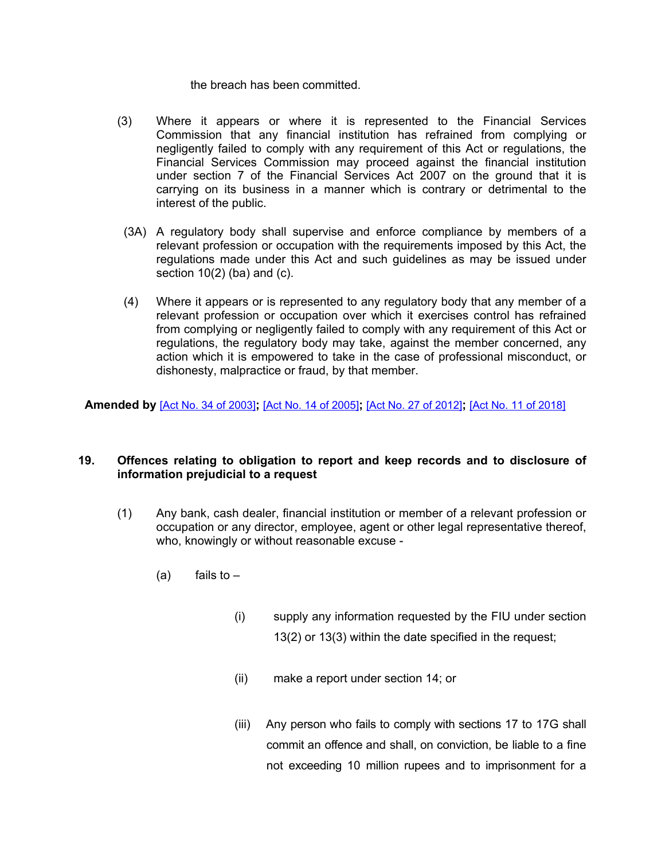the breach has been committed.

- (3) Where it appears or where it is represented to the Financial Services Commission that any financial institution has refrained from complying or negligently failed to comply with any requirement of this Act or regulations, the Financial Services Commission may proceed against the financial institution under section 7 of the Financial Services Act 2007 on the ground that it is carrying on its business in a manner which is contrary or detrimental to the interest of the public.
- (3A) A regulatory body shall supervise and enforce compliance by members of a relevant profession or occupation with the requirements imposed by this Act, the regulations made under this Act and such guidelines as may be issued under section  $10(2)$  (ba) and (c).
- (4) Where it appears or is represented to any regulatory body that any member of a relevant profession or occupation over which it exercises control has refrained from complying or negligently failed to comply with any requirement of this Act or regulations, the regulatory body may take, against the member concerned, any action which it is empowered to take in the case of professional misconduct, or dishonesty, malpractice or fraud, by that member.

<span id="page-26-0"></span>**Amended by** [Act No. 34 of [2003\]](https://supremecourt.govmu.org/_layouts/CLIS.DMS/search/searchdocumentbykey.aspx?ID=%5BAct%20No.%2034%20of%202003%5D&list=Legislations)**;** [Act No. 14 of [2005\]](https://supremecourt.govmu.org/_layouts/CLIS.DMS/search/searchdocumentbykey.aspx?ID=%5BAct%20No.%2014%20of%202005%5D&list=Legislations)**;** [Act No. 27 of [2012\]](https://supremecourt.govmu.org/_layouts/CLIS.DMS/search/searchdocumentbykey.aspx?ID=%5BAct%20No.%2027%20of%202012%5D&list=Legislations)**;** [Act No. 11 of [2018\]](https://supremecourt.govmu.org/_layouts/CLIS.DMS/search/searchdocumentbykey.aspx?ID=%5BAct%20No.%2011%20of%202018%5D&list=Legislations)

#### **19. Offences relating to obligation to report and keep records and to disclosure of information prejudicial to a request**

- (1) Any bank, cash dealer, financial institution or member of a relevant profession or occupation or any director, employee, agent or other legal representative thereof, who, knowingly or without reasonable excuse -
	- $(a)$  fails to  $-$ 
		- (i) supply any information requested by the FIU under section 13(2) or 13(3) within the date specified in the request;
		- (ii) make a report under section 14; or
		- (iii) Any person who fails to comply with sections 17 to 17G shall commit an offence and shall, on conviction, be liable to a fine not exceeding 10 million rupees and to imprisonment for a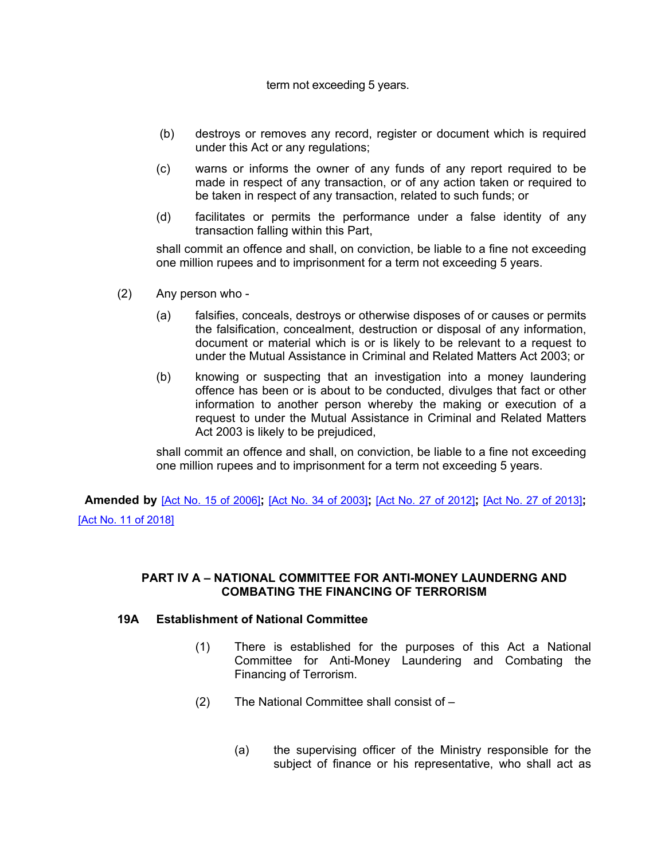#### term not exceeding 5 years.

- (b) destroys or removes any record, register or document which is required under this Act or any regulations;
- (c) warns or informs the owner of any funds of any report required to be made in respect of any transaction, or of any action taken or required to be taken in respect of any transaction, related to such funds; or
- (d) facilitates or permits the performance under a false identity of any transaction falling within this Part,

shall commit an offence and shall, on conviction, be liable to a fine not exceeding one million rupees and to imprisonment for a term not exceeding 5 years.

- (2) Any person who
	- (a) falsifies, conceals, destroys or otherwise disposes of or causes or permits the falsification, concealment, destruction or disposal of any information, document or material which is or is likely to be relevant to a request to under the Mutual Assistance in Criminal and Related Matters Act 2003; or
	- (b) knowing or suspecting that an investigation into a money laundering offence has been or is about to be conducted, divulges that fact or other information to another person whereby the making or execution of a request to under the Mutual Assistance in Criminal and Related Matters Act 2003 is likely to be prejudiced,

shall commit an offence and shall, on conviction, be liable to a fine not exceeding one million rupees and to imprisonment for a term not exceeding 5 years.

 **Amended by** [Act No. 15 of [2006\]](https://supremecourt.govmu.org/_layouts/CLIS.DMS/search/searchdocumentbykey.aspx?ID=%5BAct%20No.%2015%20of%202006%5D&list=Legislations)**;** [Act No. 34 of [2003\]](https://supremecourt.govmu.org/_layouts/CLIS.DMS/search/searchdocumentbykey.aspx?ID=%5BAct%20No.%2034%20of%202003%5D&list=Legislations)**;** [Act No. 27 of [2012\]](https://supremecourt.govmu.org/_layouts/CLIS.DMS/search/searchdocumentbykey.aspx?ID=%5BAct%20No.%2027%20of%202012%5D&list=Legislations)**;** [Act No. 27 of [2013\]](https://supremecourt.govmu.org/_layouts/CLIS.DMS/search/searchdocumentbykey.aspx?ID=%5BAct%20No.%2027%20of%202013%5D&list=Legislations)**;** [Act No. 11 of [2018\]](https://supremecourt.govmu.org/_layouts/CLIS.DMS/search/searchdocumentbykey.aspx?ID=%5BAct%20No.%2011%20of%202018%5D&list=Legislations)

#### **PART IV A – NATIONAL COMMITTEE FOR ANTI-MONEY LAUNDERNG AND COMBATING THE FINANCING OF TERRORISM**

#### **19A Establishment of National Committee**

- (1) There is established for the purposes of this Act a National Committee for Anti-Money Laundering and Combating the Financing of Terrorism.
- (2) The National Committee shall consist of
	- (a) the supervising officer of the Ministry responsible for the subject of finance or his representative, who shall act as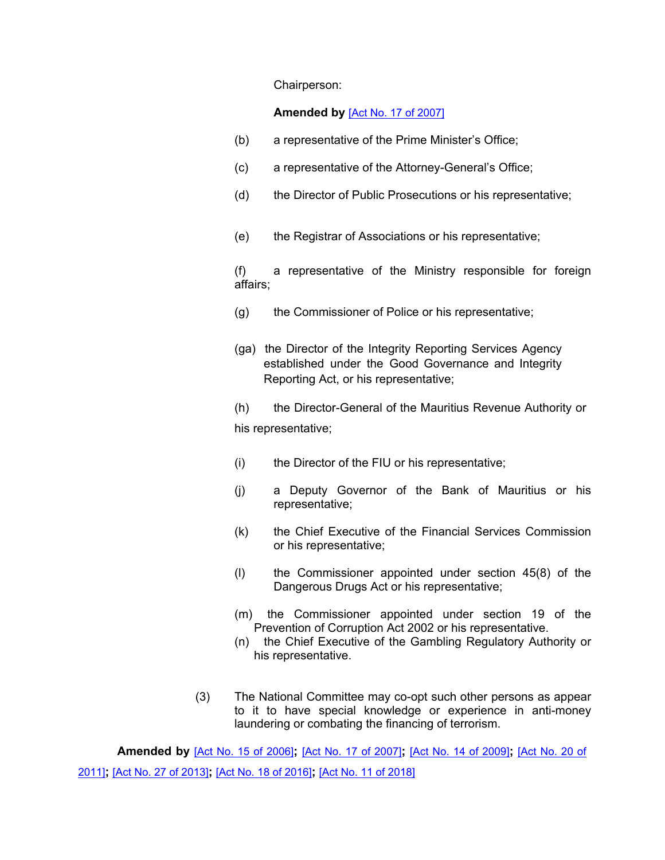Chairperson:

#### **Amended by** [Act No. 17 of [2007\]](https://supremecourt.govmu.org/_layouts/CLIS.DMS/search/searchdocumentbykey.aspx?ID=%5BAct%20No.%2017%20of%202007%5D&list=Legislations)

- (b) a representative of the Prime Minister's Office;
- (c) a representative of the Attorney-General's Office;
- (d) the Director of Public Prosecutions or his representative;
- (e) the Registrar of Associations or his representative;

(f) a representative of the Ministry responsible for foreign affairs;

- (g) the Commissioner of Police or his representative;
- (ga) the Director of the Integrity Reporting Services Agency established under the Good Governance and Integrity Reporting Act, or his representative;

(h) the Director-General of the Mauritius Revenue Authority or his representative;

- (i) the Director of the FIU or his representative;
- (j) a Deputy Governor of the Bank of Mauritius or his representative;
- (k) the Chief Executive of the Financial Services Commission or his representative;
- (l) the Commissioner appointed under section 45(8) of the Dangerous Drugs Act or his representative;
- (m) the Commissioner appointed under section 19 of the Prevention of Corruption Act 2002 or his representative.
- (n) the Chief Executive of the Gambling Regulatory Authority or his representative.
- (3) The National Committee may co-opt such other persons as appear to it to have special knowledge or experience in anti-money laundering or combating the financing of terrorism.

**Amended by** [Act No. 15 of [2006\]](https://supremecourt.govmu.org/_layouts/CLIS.DMS/search/searchdocumentbykey.aspx?ID=%5BAct%20No.%2015%20of%202006%5D&list=Legislations)**;** [Act No. 17 of [2007\]](https://supremecourt.govmu.org/_layouts/CLIS.DMS/search/searchdocumentbykey.aspx?ID=%5BAct%20No.%2017%20of%202007%5D&list=Legislations)**;** [Act No. 14 of [2009\]](https://supremecourt.govmu.org/_layouts/CLIS.DMS/search/searchdocumentbykey.aspx?ID=%5BAct%20No.%2014%20of%202009%5D&list=Legislations)**;** [\[Act](https://supremecourt.govmu.org/_layouts/CLIS.DMS/search/searchdocumentbykey.aspx?ID=%5BAct%20No.%2020%20of%202011%5D&list=Legislations) No. 20 of [2011\]](https://supremecourt.govmu.org/_layouts/CLIS.DMS/search/searchdocumentbykey.aspx?ID=%5BAct%20No.%2020%20of%202011%5D&list=Legislations)**;** [Act No. 27 of [2013\]](https://supremecourt.govmu.org/_layouts/CLIS.DMS/search/searchdocumentbykey.aspx?ID=%5BAct%20No.%2027%20of%202013%5D&list=Legislations)**;** [Act No. 18 of [2016\]](https://supremecourt.govmu.org/_layouts/CLIS.DMS/search/searchdocumentbykey.aspx?ID=%5BAct%20No.%2018%20of%202016%5D&list=Legislations)**;** [Act No. 11 of [2018\]](https://supremecourt.govmu.org/_layouts/CLIS.DMS/search/searchdocumentbykey.aspx?ID=%5BAct%20No.%2011%20of%202018%5D&list=Legislations)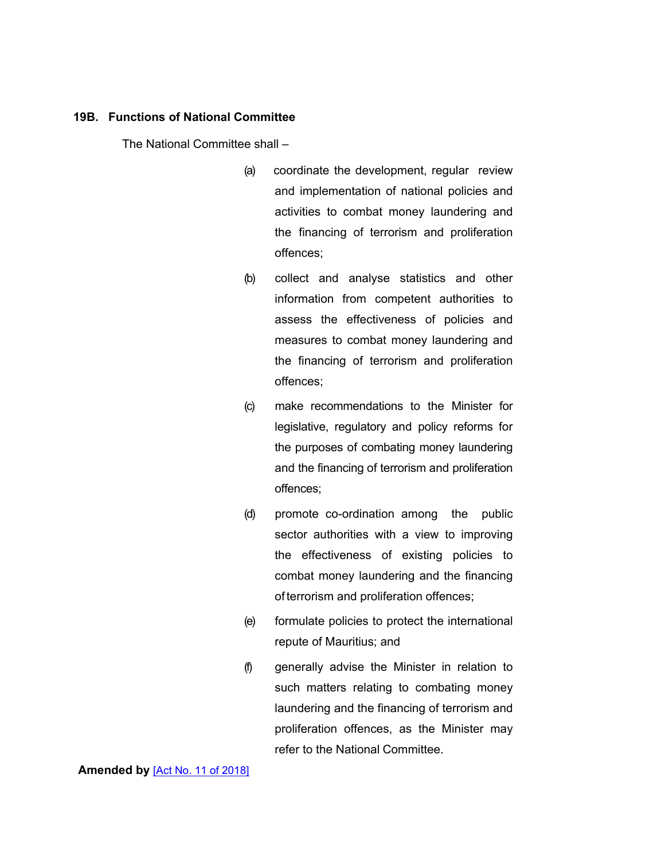#### **19B. Functions of National Committee**

The National Committee shall –

- (a) coordinate the development, regular review and implementation of national policies and activities to combat money laundering and the financing of terrorism and proliferation offences;
- (b) collect and analyse statistics and other information from competent authorities to assess the effectiveness of policies and measures to combat money laundering and the financing of terrorism and proliferation offences;
- (c) make recommendations to the Minister for legislative, regulatory and policy reforms for the purposes of combating money laundering and the financing of terrorism and proliferation offences;
- (d) promote co-ordination among the public sector authorities with a view to improving the effectiveness of existing policies to combat money laundering and the financing of terrorism and proliferation offences;
- (e) formulate policies to protect the international repute of Mauritius; and
- (f) generally advise the Minister in relation to such matters relating to combating money laundering and the financing of terrorism and proliferation offences, as the Minister may refer to the National Committee.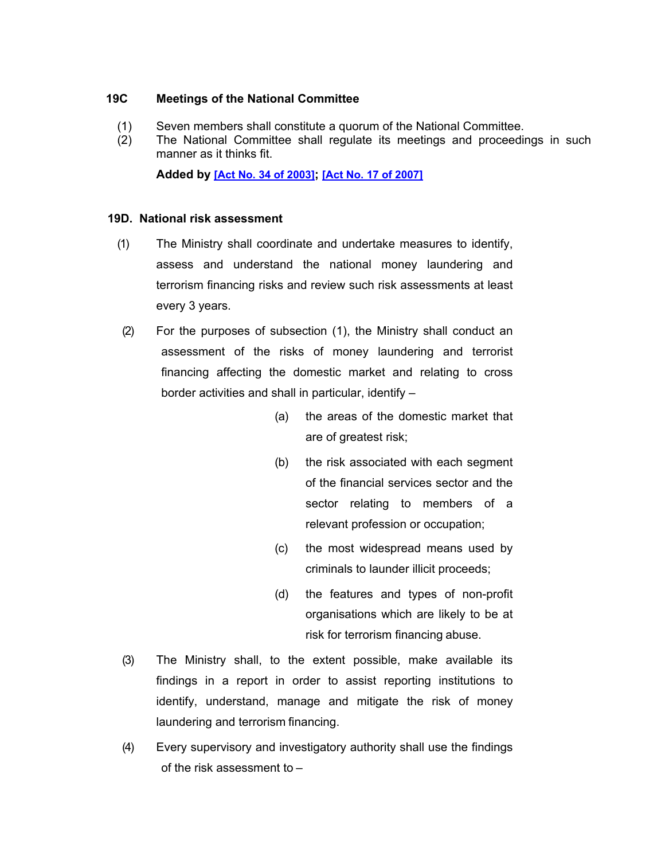#### **19C Meetings of the National Committee**

- (1) Seven members shall constitute a quorum of the National Committee.
- (2) The National Committee shall regulate its meetings and proceedings in such manner as it thinks fit.

**Added by [Act No. 34 of [2003\]](https://supremecourt.govmu.org/_layouts/CLIS.DMS/search/searchdocumentbykey.aspx?ID=%5BAct%20No.%2034%20of%202003%5D&list=Legislations); [Act No. 17 of [2007\]](https://supremecourt.govmu.org/_layouts/CLIS.DMS/search/searchdocumentbykey.aspx?ID=%5BAct%20No.%2017%20of%202007%5D&list=Legislations)**

#### **19D. National risk assessment**

- (1) The Ministry shall coordinate and undertake measures to identify, assess and understand the national money laundering and terrorism financing risks and review such risk assessments at least every 3 years.
- (2) For the purposes of subsection (1), the Ministry shall conduct an assessment of the risks of money laundering and terrorist financing affecting the domestic market and relating to cross border activities and shall in particular, identify –
	- (a) the areas of the domestic market that are of greatest risk;
	- (b) the risk associated with each segment of the financial services sector and the sector relating to members of a relevant profession or occupation;
	- (c) the most widespread means used by criminals to launder illicit proceeds;
	- (d) the features and types of non-profit organisations which are likely to be at risk for terrorism financing abuse.
- (3) The Ministry shall, to the extent possible, make available its findings in a report in order to assist reporting institutions to identify, understand, manage and mitigate the risk of money laundering and terrorism financing.
- (4) Every supervisory and investigatory authority shall use the findings of the risk assessment to –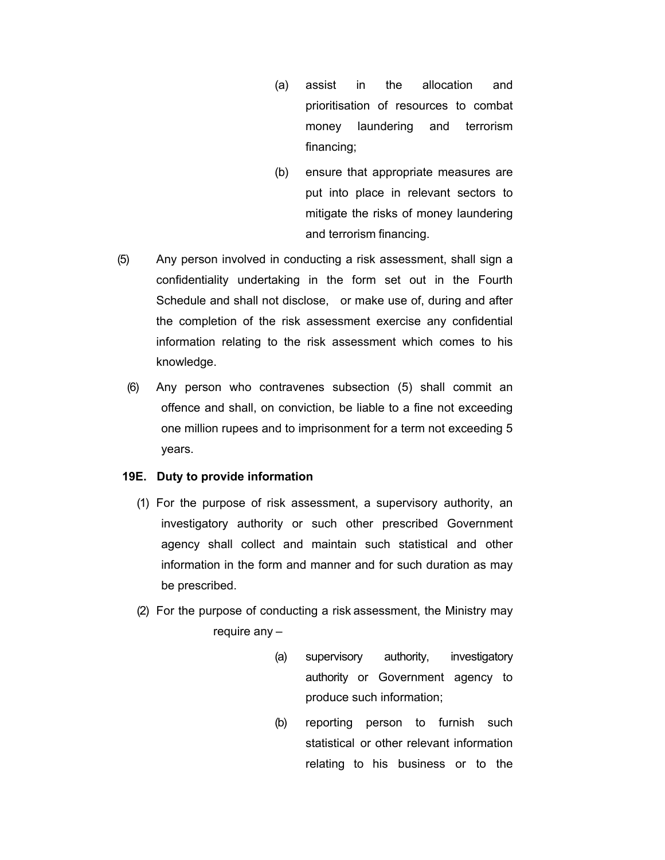- (a) assist in the allocation and prioritisation of resources to combat money laundering and terrorism financing;
- (b) ensure that appropriate measures are put into place in relevant sectors to mitigate the risks of money laundering and terrorism financing.
- (5) Any person involved in conducting a risk assessment, shall sign a confidentiality undertaking in the form set out in the Fourth Schedule and shall not disclose, or make use of, during and after the completion of the risk assessment exercise any confidential information relating to the risk assessment which comes to his knowledge.
	- (6) Any person who contravenes subsection (5) shall commit an offence and shall, on conviction, be liable to a fine not exceeding one million rupees and to imprisonment for a term not exceeding 5 years.

#### **19E. Duty to provide information**

- (1) For the purpose of risk assessment, a supervisory authority, an investigatory authority or such other prescribed Government agency shall collect and maintain such statistical and other information in the form and manner and for such duration as may be prescribed.
- (2) For the purpose of conducting a risk assessment, the Ministry may require any –
	- (a) supervisory authority, investigatory authority or Government agency to produce such information;
	- (b) reporting person to furnish such statistical or other relevant information relating to his business or to the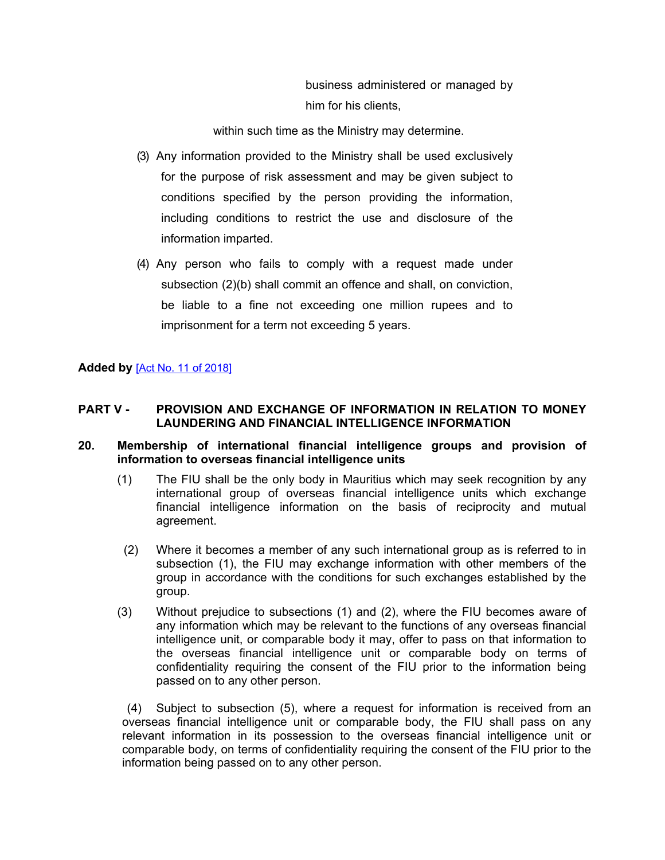business administered or managed by him for his clients,

within such time as the Ministry may determine.

- (3) Any information provided to the Ministry shall be used exclusively for the purpose of risk assessment and may be given subject to conditions specified by the person providing the information, including conditions to restrict the use and disclosure of the information imparted.
- (4) Any person who fails to comply with a request made under subsection (2)(b) shall commit an offence and shall, on conviction, be liable to a fine not exceeding one million rupees and to imprisonment for a term not exceeding 5 years.

### **Added by** [Act No. 11 of [2018\]](https://supremecourt.govmu.org/_layouts/CLIS.DMS/search/searchdocumentbykey.aspx?ID=%5BAct%20No.%2011%20of%202018%5D&list=Legislations)

### **PART V - PROVISION AND EXCHANGE OF INFORMATION IN RELATION TO MONEY LAUNDERING AND FINANCIAL INTELLIGENCE INFORMATION**

#### <span id="page-32-0"></span>**20. Membership of international financial intelligence groups and provision of information to overseas financial intelligence units**

- (1) The FIU shall be the only body in Mauritius which may seek recognition by any international group of overseas financial intelligence units which exchange financial intelligence information on the basis of reciprocity and mutual agreement.
- (2) Where it becomes a member of any such international group as is referred to in subsection (1), the FIU may exchange information with other members of the group in accordance with the conditions for such exchanges established by the group.
- (3) Without prejudice to subsections (1) and (2), where the FIU becomes aware of any information which may be relevant to the functions of any overseas financial intelligence unit, or comparable body it may, offer to pass on that information to the overseas financial intelligence unit or comparable body on terms of confidentiality requiring the consent of the FIU prior to the information being passed on to any other person.

<span id="page-32-1"></span>(4) Subject to subsection (5), where a request for information is received from an overseas financial intelligence unit or comparable body, the FIU shall pass on any relevant information in its possession to the overseas financial intelligence unit or comparable body, on terms of confidentiality requiring the consent of the FIU prior to the information being passed on to any other person.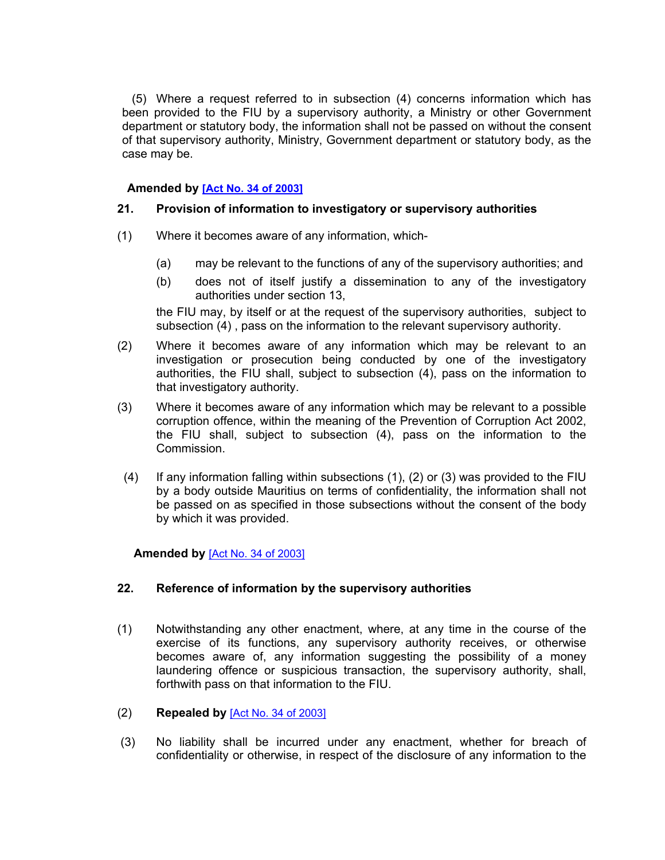(5) Where a request referred to in subsection (4) concerns information which has been provided to the FIU by a supervisory authority, a Ministry or other Government department or statutory body, the information shall not be passed on without the consent of that supervisory authority, Ministry, Government department or statutory body, as the case may be.

### **Amended by [Act No. 34 of [2003\]](https://supremecourt.govmu.org/_layouts/CLIS.DMS/search/searchdocumentbykey.aspx?ID=%5BAct%20No.%2034%20of%202003%5D&list=Legislations)**

### **21. Provision of information to investigatory or supervisory authorities**

- (1) Where it becomes aware of any information, which-
	- (a) may be relevant to the functions of any of the supervisory authorities; and
	- (b) does not of itself justify a dissemination to any of the investigatory authorities under section 13,

the FIU may, by itself or at the request of the supervisory authorities, subject to subsection (4) , pass on the information to the relevant supervisory authority.

- (2) Where it becomes aware of any information which may be relevant to an investigation or prosecution being conducted by one of the investigatory authorities, the FIU shall, subject to subsection (4), pass on the information to that investigatory authority.
- (3) Where it becomes aware of any information which may be relevant to a possible corruption offence, within the meaning of the Prevention of Corruption Act 2002, the FIU shall, subject to subsection (4), pass on the information to the Commission.
- (4) If any information falling within subsections (1), (2) or (3) was provided to the FIU by a body outside Mauritius on terms of confidentiality, the information shall not be passed on as specified in those subsections without the consent of the body by which it was provided.

<span id="page-33-0"></span> **Amended by** [Act No. 34 of [2003\]](https://supremecourt.govmu.org/_layouts/CLIS.DMS/search/searchdocumentbykey.aspx?ID=%5BAct%20No.%2034%20of%202003%5D&list=Legislations)

### **22. Reference of information by the supervisory authorities**

- (1) Notwithstanding any other enactment, where, at any time in the course of the exercise of its functions, any supervisory authority receives, or otherwise becomes aware of, any information suggesting the possibility of a money laundering offence or suspicious transaction, the supervisory authority, shall, forthwith pass on that information to the FIU.
- (2) **Repealed by** [Act No. 34 of [2003\]](https://supremecourt.govmu.org/_layouts/CLIS.DMS/search/searchdocumentbykey.aspx?ID=%5BAct%20No.%2034%20of%202003%5D&list=Legislations)
- (3) No liability shall be incurred under any enactment, whether for breach of confidentiality or otherwise, in respect of the disclosure of any information to the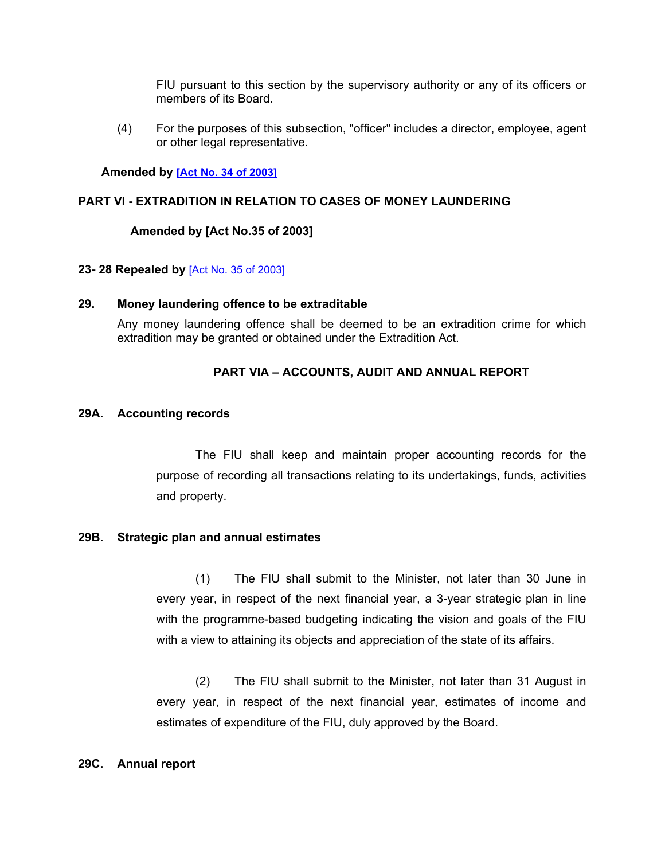FIU pursuant to this section by the supervisory authority or any of its officers or members of its Board.

(4) For the purposes of this subsection, "officer" includes a director, employee, agent or other legal representative.

#### **Amended by [Act No. 34 of [2003\]](https://supremecourt.govmu.org/_layouts/CLIS.DMS/search/searchdocumentbykey.aspx?ID=%5BAct%20No.%2034%20of%202003%5D&list=Legislations)**

#### **PART VI - EXTRADITION IN RELATION TO CASES OF MONEY LAUNDERING**

#### **Amended by [Act No.35 of 2003]**

#### <span id="page-34-1"></span><span id="page-34-0"></span>**23- 28 Repealed by** [Act No. 35 of [2003\]](https://supremecourt.govmu.org/_layouts/CLIS.DMS/search/searchdocumentbykey.aspx?ID=%5BAct%20No.%2035%20of%202003%5D&list=Legislations)

#### **29. Money laundering offence to be extraditable**

Any money laundering offence shall be deemed to be an extradition crime for which extradition may be granted or obtained under the Extradition Act.

### **PART VIA – ACCOUNTS, AUDIT AND ANNUAL REPORT**

#### **29A. Accounting records**

The FIU shall keep and maintain proper accounting records for the purpose of recording all transactions relating to its undertakings, funds, activities and property.

#### **29B. Strategic plan and annual estimates**

(1) The FIU shall submit to the Minister, not later than 30 June in every year, in respect of the next financial year, a 3-year strategic plan in line with the programme-based budgeting indicating the vision and goals of the FIU with a view to attaining its objects and appreciation of the state of its affairs.

(2) The FIU shall submit to the Minister, not later than 31 August in every year, in respect of the next financial year, estimates of income and estimates of expenditure of the FIU, duly approved by the Board.

#### **29C. Annual report**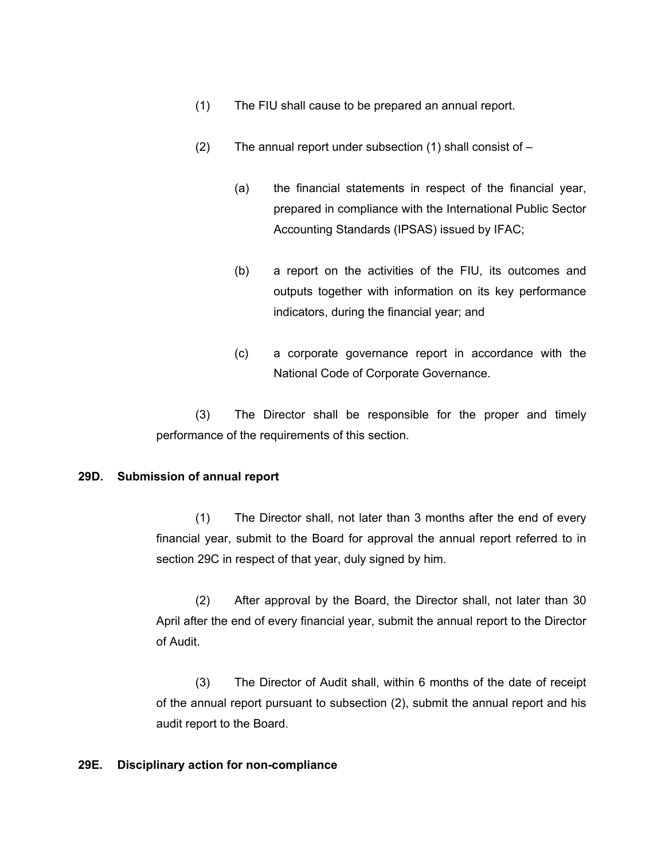- (1) The FIU shall cause to be prepared an annual report.
- (2) The annual report under subsection (1) shall consist of
	- (a) the financial statements in respect of the financial year, prepared in compliance with the International Public Sector Accounting Standards (IPSAS) issued by IFAC;
	- (b) a report on the activities of the FIU, its outcomes and outputs together with information on its key performance indicators, during the financial year; and
	- (c) a corporate governance report in accordance with the National Code of Corporate Governance.

(3) The Director shall be responsible for the proper and timely performance of the requirements of this section.

#### **29D. Submission of annual report**

(1) The Director shall, not later than 3 months after the end of every financial year, submit to the Board for approval the annual report referred to in section 29C in respect of that year, duly signed by him.

(2) After approval by the Board, the Director shall, not later than 30 April after the end of every financial year, submit the annual report to the Director of Audit.

(3) The Director of Audit shall, within 6 months of the date of receipt of the annual report pursuant to subsection (2), submit the annual report and his audit report to the Board.

#### **29E. Disciplinary action for non-compliance**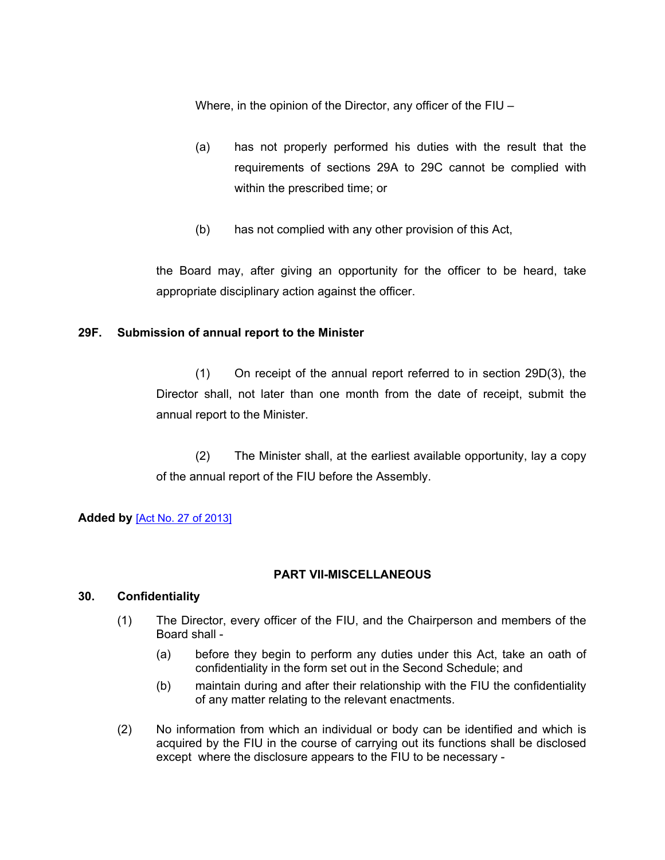Where, in the opinion of the Director, any officer of the FIU –

- (a) has not properly performed his duties with the result that the requirements of sections 29A to 29C cannot be complied with within the prescribed time; or
- (b) has not complied with any other provision of this Act,

the Board may, after giving an opportunity for the officer to be heard, take appropriate disciplinary action against the officer.

### **29F. Submission of annual report to the Minister**

(1) On receipt of the annual report referred to in section 29D(3), the Director shall, not later than one month from the date of receipt, submit the annual report to the Minister.

(2) The Minister shall, at the earliest available opportunity, lay a copy of the annual report of the FIU before the Assembly.

#### **Added by** [Act No. 27 of [2013\]](https://supremecourt.govmu.org/_layouts/CLIS.DMS/search/searchdocumentbykey.aspx?ID=%5BAct%20No.%2027%20of%202013%5D&list=Legislations)

### **PART VII-MISCELLANEOUS**

#### **30. Confidentiality**

- (1) The Director, every officer of the FIU, and the Chairperson and members of the Board shall -
	- (a) before they begin to perform any duties under this Act, take an oath of confidentiality in the form set out in the Second Schedule; and
	- (b) maintain during and after their relationship with the FIU the confidentiality of any matter relating to the relevant enactments.
- (2) No information from which an individual or body can be identified and which is acquired by the FIU in the course of carrying out its functions shall be disclosed except where the disclosure appears to the FIU to be necessary -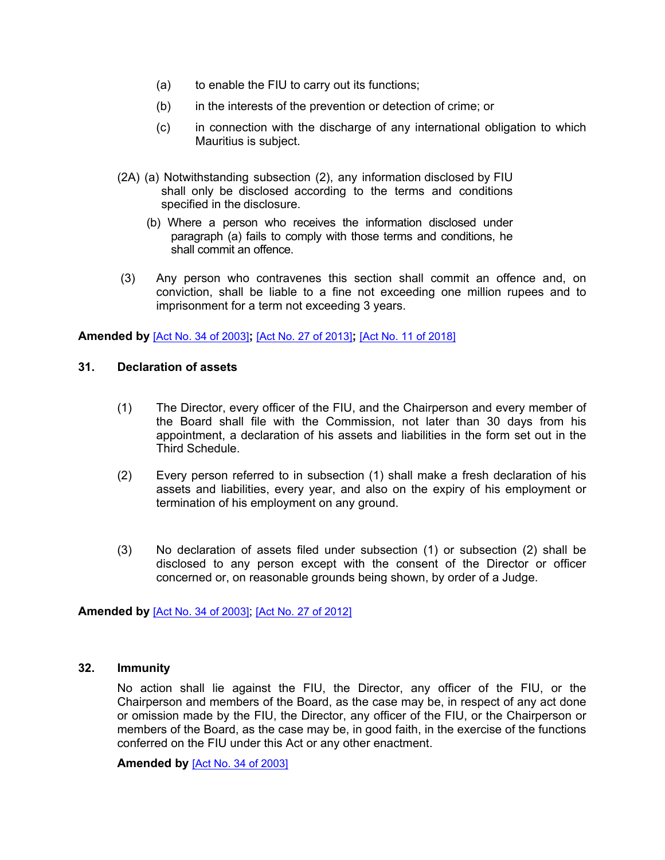- (a) to enable the FIU to carry out its functions;
- (b) in the interests of the prevention or detection of crime; or
- (c) in connection with the discharge of any international obligation to which Mauritius is subject.
- (2A) (a) Notwithstanding subsection (2), any information disclosed by FIU shall only be disclosed according to the terms and conditions specified in the disclosure.
	- (b) Where a person who receives the information disclosed under paragraph (a) fails to comply with those terms and conditions, he shall commit an offence.
- (3) Any person who contravenes this section shall commit an offence and, on conviction, shall be liable to a fine not exceeding one million rupees and to imprisonment for a term not exceeding 3 years.

**Amended by** [Act No. 34 of [2003\]](https://supremecourt.govmu.org/_layouts/CLIS.DMS/search/searchdocumentbykey.aspx?ID=%5BAct%20No.%2034%20of%202003%5D&list=Legislations)**;** [Act No. 27 of [2013\]](https://supremecourt.govmu.org/_layouts/CLIS.DMS/search/searchdocumentbykey.aspx?ID=%5BAct%20No.%2027%20of%202013%5D&list=Legislations)**;** [Act No. 11 of [2018\]](https://supremecourt.govmu.org/_layouts/CLIS.DMS/search/searchdocumentbykey.aspx?ID=%5BAct%20No.%2011%20of%202018%5D&list=Legislations)

#### **31. Declaration of assets**

- (1) The Director, every officer of the FIU, and the Chairperson and every member of the Board shall file with the Commission, not later than 30 days from his appointment, a declaration of his assets and liabilities in the form set out in the Third Schedule.
- (2) Every person referred to in subsection (1) shall make a fresh declaration of his assets and liabilities, every year, and also on the expiry of his employment or termination of his employment on any ground.
- (3) No declaration of assets filed under subsection (1) or subsection (2) shall be disclosed to any person except with the consent of the Director or officer concerned or, on reasonable grounds being shown, by order of a Judge.

**Amended by** [Act No. 34 of [2003\]](https://supremecourt.govmu.org/_layouts/CLIS.DMS/search/searchdocumentbykey.aspx?ID=%5BAct%20No.%2034%20of%202003%5D&list=Legislations); [Act No. 27 of [2012\]](https://supremecourt.govmu.org/_layouts/CLIS.DMS/search/searchdocumentbykey.aspx?ID=%5BAct%20No.%2027%20of%202012%5D&list=Legislations)

#### **32. Immunity**

No action shall lie against the FIU, the Director, any officer of the FIU, or the Chairperson and members of the Board, as the case may be, in respect of any act done or omission made by the FIU, the Director, any officer of the FIU, or the Chairperson or members of the Board, as the case may be, in good faith, in the exercise of the functions conferred on the FIU under this Act or any other enactment.

**Amended by** [Act No. 34 of [2003\]](https://supremecourt.govmu.org/_layouts/CLIS.DMS/search/searchdocumentbykey.aspx?ID=%5BAct%20No.%2034%20of%202003%5D&list=Legislations)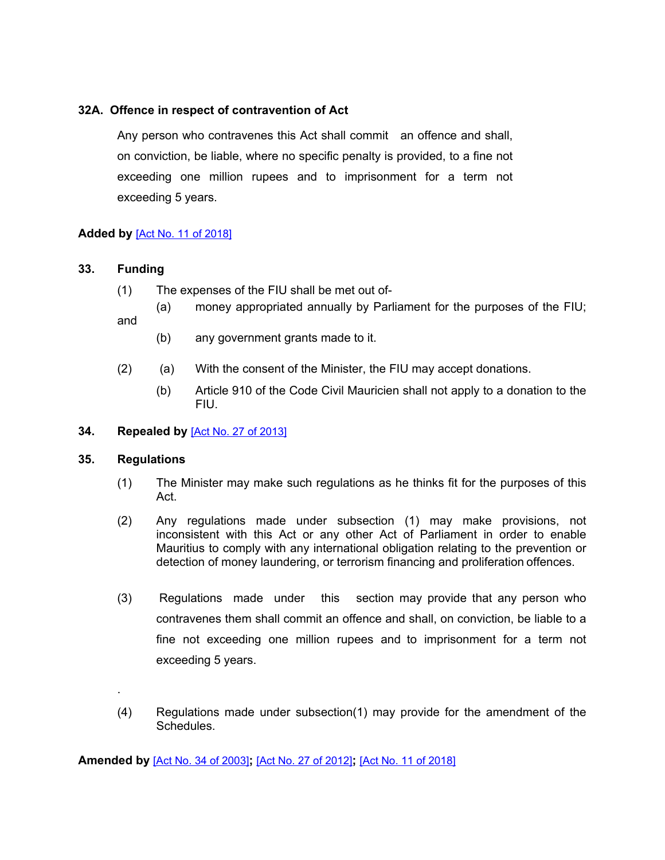### **32A. Offence in respect of contravention of Act**

Any person who contravenes this Act shall commit an offence and shall, on conviction, be liable, where no specific penalty is provided, to a fine not exceeding one million rupees and to imprisonment for a term not exceeding 5 years.

### **Added by** [Act No. 11 of [2018\]](https://supremecourt.govmu.org/_layouts/CLIS.DMS/search/searchdocumentbykey.aspx?ID=%5BAct%20No.%2011%20of%202018%5D&list=Legislations)

### **33. Funding**

- (1) The expenses of the FIU shall be met out of-
- (a) money appropriated annually by Parliament for the purposes of the FIU; and
	- (b) any government grants made to it.
- (2) (a) With the consent of the Minister, the FIU may accept donations.
	- (b) Article 910 of the Code Civil Mauricien shall not apply to a donation to the FIU.
- <span id="page-38-0"></span>**34. Repealed by** [Act No. 27 of [2013\]](https://supremecourt.govmu.org/_layouts/CLIS.DMS/search/searchdocumentbykey.aspx?ID=%5BAct%20No.%2027%20of%202013%5D&list=Legislations)

#### **35. Regulations**

.

- (1) The Minister may make such regulations as he thinks fit for the purposes of this Act.
- (2) Any regulations made under subsection (1) may make provisions, not inconsistent with this Act or any other Act of Parliament in order to enable Mauritius to comply with any international obligation relating to the prevention or detection of money laundering, or terrorism financing and proliferation offences.
- (3) Regulations made under this section may provide that any person who contravenes them shall commit an offence and shall, on conviction, be liable to a fine not exceeding one million rupees and to imprisonment for a term not exceeding 5 years.
- (4) Regulations made under subsection(1) may provide for the amendment of the **Schedules**

**Amended by** [Act No. 34 of [2003\]](https://supremecourt.govmu.org/_layouts/CLIS.DMS/search/searchdocumentbykey.aspx?ID=%5BAct%20No.%2034%20of%202003%5D&list=Legislations)**;** [Act No. 27 of [2012\]](https://supremecourt.govmu.org/_layouts/CLIS.DMS/search/searchdocumentbykey.aspx?ID=%5BAct%20No.%2027%20of%202012%5D&list=Legislations)**;** [Act No. 11 of [2018\]](https://supremecourt.govmu.org/_layouts/CLIS.DMS/search/searchdocumentbykey.aspx?ID=%5BAct%20No.%2011%20of%202018%5D&list=Legislations)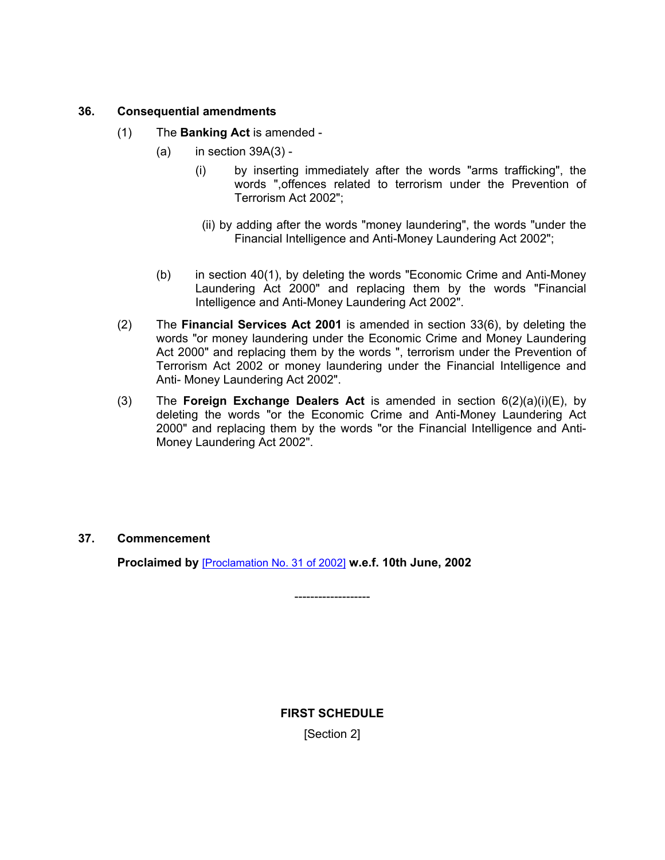#### <span id="page-39-0"></span>**36. Consequential amendments**

- (1) The **Banking Act** is amended
	- $(a)$  in section 39A $(3)$  -
		- (i) by inserting immediately after the words "arms trafficking", the words ",offences related to terrorism under the Prevention of Terrorism Act 2002";
		- (ii) by adding after the words "money laundering", the words "under the Financial Intelligence and Anti-Money Laundering Act 2002";
	- (b) in section 40(1), by deleting the words "Economic Crime and Anti-Money Laundering Act 2000" and replacing them by the words "Financial Intelligence and Anti-Money Laundering Act 2002".
- (2) The **Financial Services Act 2001** is amended in section 33(6), by deleting the words "or money laundering under the Economic Crime and Money Laundering Act 2000" and replacing them by the words ", terrorism under the Prevention of Terrorism Act 2002 or money laundering under the Financial Intelligence and Anti- Money Laundering Act 2002".
- (3) The **Foreign Exchange Dealers Act** is amended in section 6(2)(a)(i)(E), by deleting the words "or the Economic Crime and Anti-Money Laundering Act 2000" and replacing them by the words "or the Financial Intelligence and Anti-Money Laundering Act 2002".

#### <span id="page-39-1"></span>**37. Commencement**

**Proclaimed by** [\[Proclamation](https://supremecourt.govmu.org/_layouts/CLIS.DMS/search/searchdocumentbykey.aspx?ID=%5BProclamation%20No.%2031%20of%202002%5D&list=Legislations) No. 31 of 2002] **w.e.f. 10th June, 2002**

**FIRST SCHEDULE** [Section 2]

<span id="page-39-2"></span>-------------------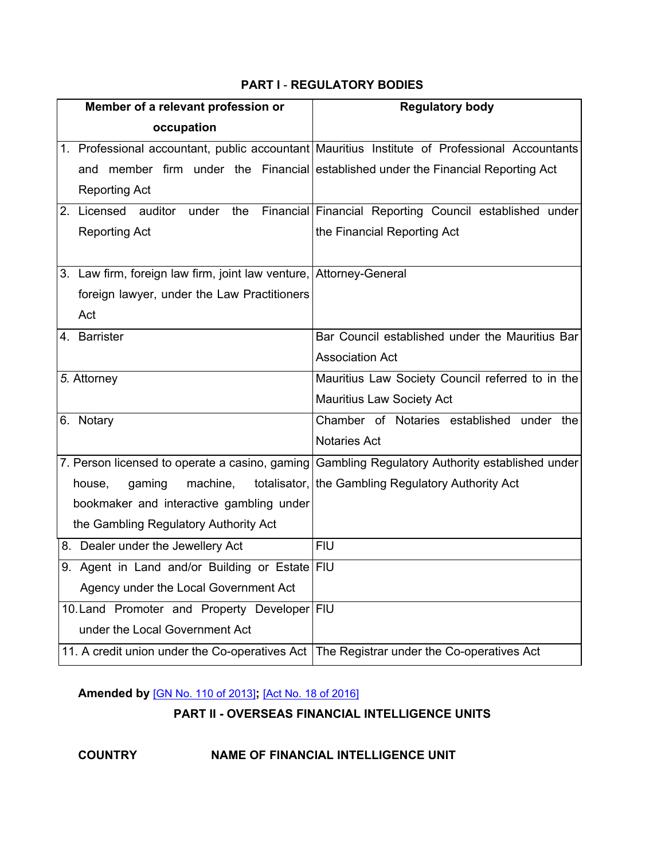## **PART I** - **REGULATORY BODIES**

| Member of a relevant profession or                                 | <b>Regulatory body</b>                                                                          |
|--------------------------------------------------------------------|-------------------------------------------------------------------------------------------------|
| occupation                                                         |                                                                                                 |
|                                                                    | 1. Professional accountant, public accountant   Mauritius Institute of Professional Accountants |
| and                                                                | member firm under the Financial established under the Financial Reporting Act                   |
| <b>Reporting Act</b>                                               |                                                                                                 |
| 2. Licensed auditor under<br>the                                   | Financial Financial Reporting Council established under                                         |
| <b>Reporting Act</b>                                               | the Financial Reporting Act                                                                     |
|                                                                    |                                                                                                 |
| 3. Law firm, foreign law firm, joint law venture, Attorney-General |                                                                                                 |
| foreign lawyer, under the Law Practitioners                        |                                                                                                 |
| Act                                                                |                                                                                                 |
| 4. Barrister                                                       | Bar Council established under the Mauritius Bar                                                 |
|                                                                    | <b>Association Act</b>                                                                          |
| 5. Attorney                                                        | Mauritius Law Society Council referred to in the                                                |
|                                                                    | <b>Mauritius Law Society Act</b>                                                                |
| 6. Notary                                                          | Chamber of Notaries established under the                                                       |
|                                                                    | <b>Notaries Act</b>                                                                             |
|                                                                    | 7. Person licensed to operate a casino, gaming Gambling Regulatory Authority established under  |
| house,<br>gaming<br>machine,                                       | totalisator, the Gambling Regulatory Authority Act                                              |
| bookmaker and interactive gambling under                           |                                                                                                 |
| the Gambling Regulatory Authority Act                              |                                                                                                 |
| 8. Dealer under the Jewellery Act                                  | <b>FIU</b>                                                                                      |
| 9. Agent in Land and/or Building or Estate FIU                     |                                                                                                 |
| Agency under the Local Government Act                              |                                                                                                 |
| 10. Land Promoter and Property Developer FIU                       |                                                                                                 |
| under the Local Government Act                                     |                                                                                                 |
| 11. A credit union under the Co-operatives Act                     | The Registrar under the Co-operatives Act                                                       |

## **Amended by** [GN No. 110 of [2013\]](https://supremecourt.govmu.org/_layouts/CLIS.DMS/search/searchdocumentbykey.aspx?ID=%5BGN%20No.%20110%20of%202013%5D&list=Legislations)**;** [Act No. 18 of [2016\]](https://supremecourt.govmu.org/_layouts/CLIS.DMS/search/searchdocumentbykey.aspx?ID=%5BAct%20No.%2018%20of%202016%5D&list=Legislations)

## **PART II - OVERSEAS FINANCIAL INTELLIGENCE UNITS**

## **COUNTRY NAME OF FINANCIAL INTELLIGENCE UNIT**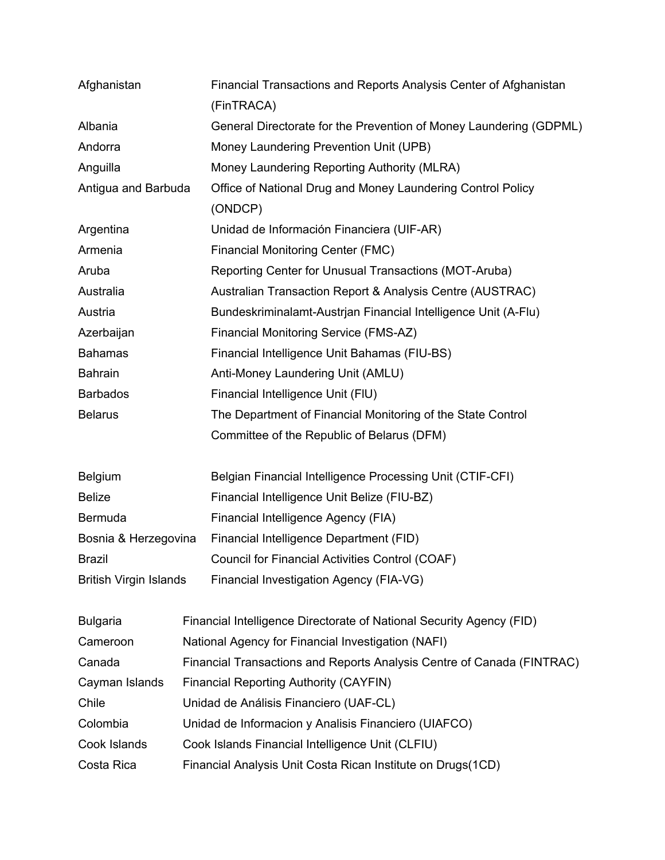| Afghanistan                   | Financial Transactions and Reports Analysis Center of Afghanistan      |  |
|-------------------------------|------------------------------------------------------------------------|--|
|                               | (FinTRACA)                                                             |  |
| Albania                       | General Directorate for the Prevention of Money Laundering (GDPML)     |  |
| Andorra                       | Money Laundering Prevention Unit (UPB)                                 |  |
| Anguilla                      | Money Laundering Reporting Authority (MLRA)                            |  |
| Antigua and Barbuda           | Office of National Drug and Money Laundering Control Policy            |  |
|                               | (ONDCP)                                                                |  |
| Argentina                     | Unidad de Información Financiera (UIF-AR)                              |  |
| Armenia                       | <b>Financial Monitoring Center (FMC)</b>                               |  |
| Aruba                         | Reporting Center for Unusual Transactions (MOT-Aruba)                  |  |
| Australia                     | Australian Transaction Report & Analysis Centre (AUSTRAC)              |  |
| Austria                       | Bundeskriminalamt-Austrian Financial Intelligence Unit (A-Flu)         |  |
| Azerbaijan                    | Financial Monitoring Service (FMS-AZ)                                  |  |
| <b>Bahamas</b>                | Financial Intelligence Unit Bahamas (FIU-BS)                           |  |
| <b>Bahrain</b>                | Anti-Money Laundering Unit (AMLU)                                      |  |
| <b>Barbados</b>               | Financial Intelligence Unit (FIU)                                      |  |
| <b>Belarus</b>                | The Department of Financial Monitoring of the State Control            |  |
|                               | Committee of the Republic of Belarus (DFM)                             |  |
| <b>Belgium</b>                | Belgian Financial Intelligence Processing Unit (CTIF-CFI)              |  |
| <b>Belize</b>                 | Financial Intelligence Unit Belize (FIU-BZ)                            |  |
| Bermuda                       | Financial Intelligence Agency (FIA)                                    |  |
| Bosnia & Herzegovina          | Financial Intelligence Department (FID)                                |  |
| <b>Brazil</b>                 | Council for Financial Activities Control (COAF)                        |  |
| <b>British Virgin Islands</b> | Financial Investigation Agency (FIA-VG)                                |  |
| <b>Bulgaria</b>               | Financial Intelligence Directorate of National Security Agency (FID)   |  |
| Cameroon                      | National Agency for Financial Investigation (NAFI)                     |  |
| Canada                        | Financial Transactions and Reports Analysis Centre of Canada (FINTRAC) |  |
| Cayman Islands                | <b>Financial Reporting Authority (CAYFIN)</b>                          |  |
| Chile                         | Unidad de Análisis Financiero (UAF-CL)                                 |  |
| Colombia                      | Unidad de Informacion y Analisis Financiero (UIAFCO)                   |  |
| Cook Islands                  | Cook Islands Financial Intelligence Unit (CLFIU)                       |  |
| Costa Rica                    | Financial Analysis Unit Costa Rican Institute on Drugs(1CD)            |  |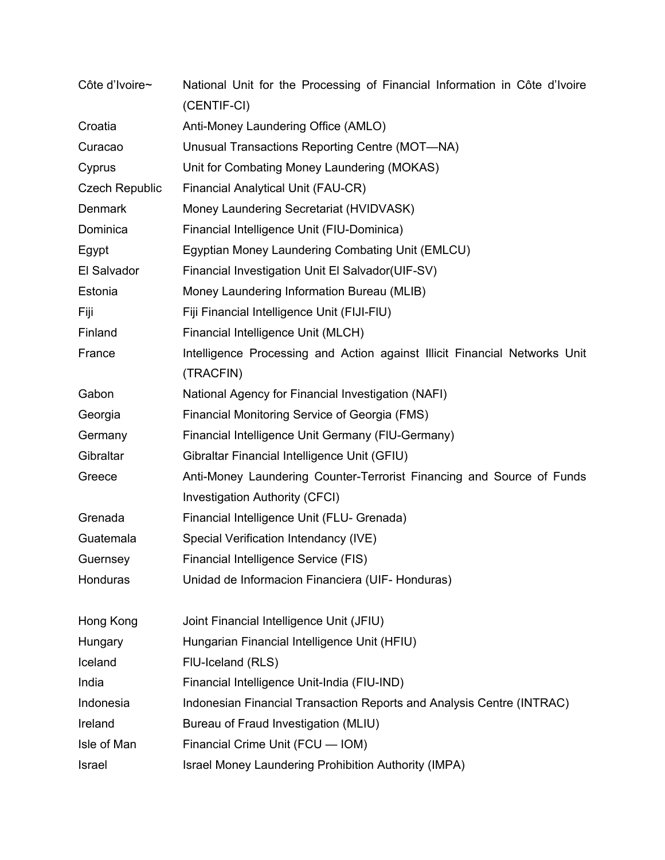| Côte d'Ivoire~        | National Unit for the Processing of Financial Information in Côte d'Ivoire<br>(CENTIF-CI) |  |
|-----------------------|-------------------------------------------------------------------------------------------|--|
| Croatia               | Anti-Money Laundering Office (AMLO)                                                       |  |
| Curacao               | Unusual Transactions Reporting Centre (MOT-NA)                                            |  |
| Cyprus                | Unit for Combating Money Laundering (MOKAS)                                               |  |
| <b>Czech Republic</b> | <b>Financial Analytical Unit (FAU-CR)</b>                                                 |  |
| <b>Denmark</b>        | Money Laundering Secretariat (HVIDVASK)                                                   |  |
| Dominica              | Financial Intelligence Unit (FIU-Dominica)                                                |  |
| Egypt                 | Egyptian Money Laundering Combating Unit (EMLCU)                                          |  |
| El Salvador           | Financial Investigation Unit El Salvador(UIF-SV)                                          |  |
| Estonia               | Money Laundering Information Bureau (MLIB)                                                |  |
| Fiji                  | Fiji Financial Intelligence Unit (FIJI-FIU)                                               |  |
| Finland               | Financial Intelligence Unit (MLCH)                                                        |  |
| France                | Intelligence Processing and Action against Illicit Financial Networks Unit<br>(TRACFIN)   |  |
| Gabon                 | National Agency for Financial Investigation (NAFI)                                        |  |
| Georgia               | Financial Monitoring Service of Georgia (FMS)                                             |  |
| Germany               | Financial Intelligence Unit Germany (FIU-Germany)                                         |  |
| Gibraltar             | Gibraltar Financial Intelligence Unit (GFIU)                                              |  |
| Greece                | Anti-Money Laundering Counter-Terrorist Financing and Source of Funds                     |  |
|                       | <b>Investigation Authority (CFCI)</b>                                                     |  |
| Grenada               | Financial Intelligence Unit (FLU- Grenada)                                                |  |
| Guatemala             | Special Verification Intendancy (IVE)                                                     |  |
| Guernsey              | Financial Intelligence Service (FIS)                                                      |  |
| Honduras              | Unidad de Informacion Financiera (UIF- Honduras)                                          |  |
| Hong Kong             | Joint Financial Intelligence Unit (JFIU)                                                  |  |
| Hungary               | Hungarian Financial Intelligence Unit (HFIU)                                              |  |
| Iceland               | FIU-Iceland (RLS)                                                                         |  |
| India                 | Financial Intelligence Unit-India (FIU-IND)                                               |  |
| Indonesia             | Indonesian Financial Transaction Reports and Analysis Centre (INTRAC)                     |  |
| Ireland               | Bureau of Fraud Investigation (MLIU)                                                      |  |
| Isle of Man           | Financial Crime Unit (FCU - IOM)                                                          |  |
| Israel                | Israel Money Laundering Prohibition Authority (IMPA)                                      |  |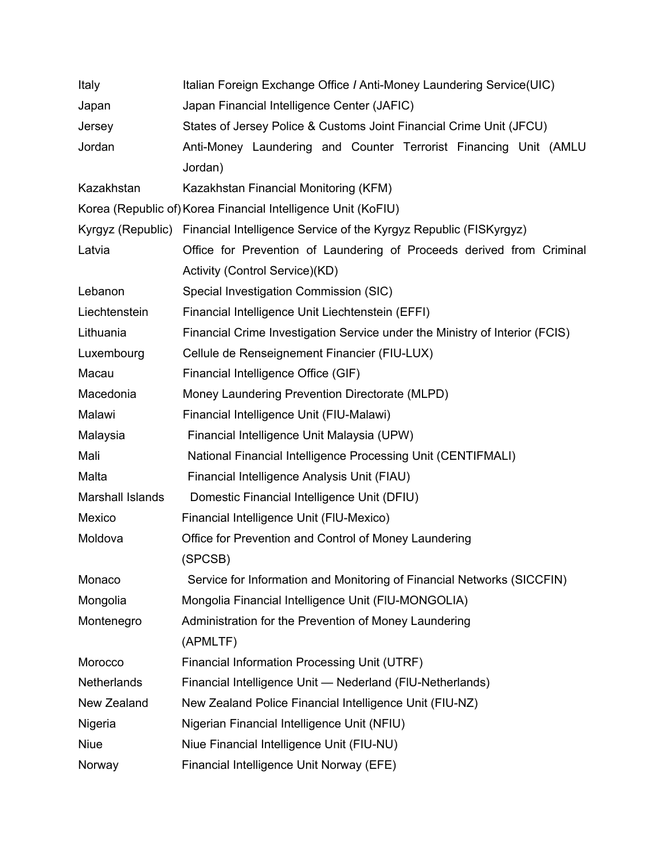| Italy            | Italian Foreign Exchange Office / Anti-Money Laundering Service(UIC)                |  |
|------------------|-------------------------------------------------------------------------------------|--|
| Japan            | Japan Financial Intelligence Center (JAFIC)                                         |  |
| Jersey           | States of Jersey Police & Customs Joint Financial Crime Unit (JFCU)                 |  |
| Jordan           | Anti-Money Laundering and Counter Terrorist Financing Unit (AMLU                    |  |
|                  | Jordan)                                                                             |  |
| Kazakhstan       | Kazakhstan Financial Monitoring (KFM)                                               |  |
|                  | Korea (Republic of) Korea Financial Intelligence Unit (KoFIU)                       |  |
|                  | Kyrgyz (Republic) Financial Intelligence Service of the Kyrgyz Republic (FISKyrgyz) |  |
| Latvia           | Office for Prevention of Laundering of Proceeds derived from Criminal               |  |
|                  | Activity (Control Service)(KD)                                                      |  |
| Lebanon          | Special Investigation Commission (SIC)                                              |  |
| Liechtenstein    | Financial Intelligence Unit Liechtenstein (EFFI)                                    |  |
| Lithuania        | Financial Crime Investigation Service under the Ministry of Interior (FCIS)         |  |
| Luxembourg       | Cellule de Renseignement Financier (FIU-LUX)                                        |  |
| Macau            | Financial Intelligence Office (GIF)                                                 |  |
| Macedonia        | Money Laundering Prevention Directorate (MLPD)                                      |  |
| Malawi           | Financial Intelligence Unit (FIU-Malawi)                                            |  |
| Malaysia         | Financial Intelligence Unit Malaysia (UPW)                                          |  |
| Mali             | National Financial Intelligence Processing Unit (CENTIFMALI)                        |  |
| Malta            | Financial Intelligence Analysis Unit (FIAU)                                         |  |
| Marshall Islands | Domestic Financial Intelligence Unit (DFIU)                                         |  |
| Mexico           | Financial Intelligence Unit (FIU-Mexico)                                            |  |
| Moldova          | Office for Prevention and Control of Money Laundering                               |  |
|                  | (SPCSB)                                                                             |  |
| Monaco           | Service for Information and Monitoring of Financial Networks (SICCFIN)              |  |
| Mongolia         | Mongolia Financial Intelligence Unit (FIU-MONGOLIA)                                 |  |
| Montenegro       | Administration for the Prevention of Money Laundering                               |  |
|                  | (APMLTF)                                                                            |  |
| Morocco          | Financial Information Processing Unit (UTRF)                                        |  |
| Netherlands      | Financial Intelligence Unit - Nederland (FIU-Netherlands)                           |  |
| New Zealand      | New Zealand Police Financial Intelligence Unit (FIU-NZ)                             |  |
| Nigeria          | Nigerian Financial Intelligence Unit (NFIU)                                         |  |
| <b>Niue</b>      | Niue Financial Intelligence Unit (FIU-NU)                                           |  |
| Norway           | Financial Intelligence Unit Norway (EFE)                                            |  |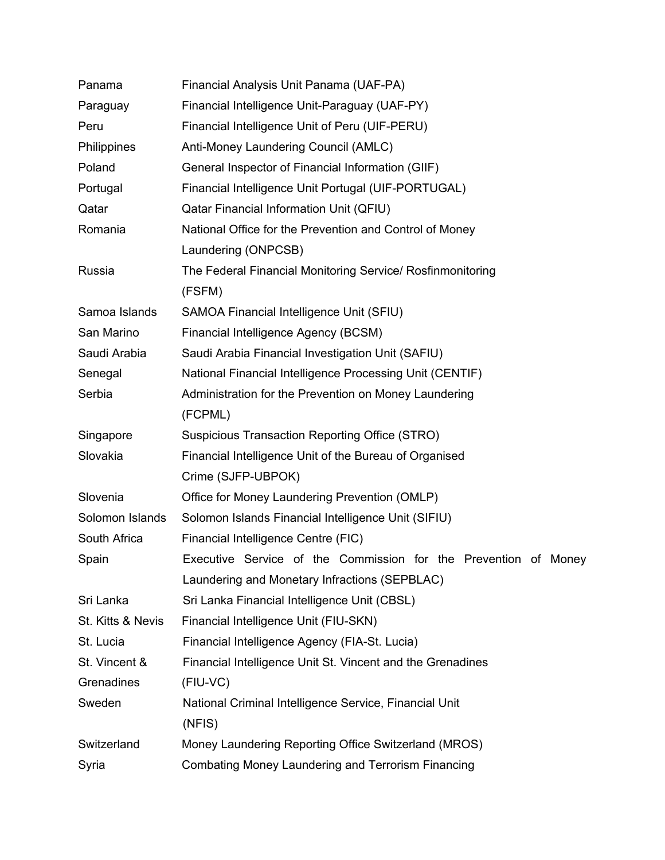| Panama                                                             | Financial Analysis Unit Panama (UAF-PA)                              |  |
|--------------------------------------------------------------------|----------------------------------------------------------------------|--|
| Paraguay                                                           | Financial Intelligence Unit-Paraguay (UAF-PY)                        |  |
| Peru                                                               | Financial Intelligence Unit of Peru (UIF-PERU)                       |  |
| Philippines                                                        | Anti-Money Laundering Council (AMLC)                                 |  |
| Poland                                                             | General Inspector of Financial Information (GIIF)                    |  |
| Portugal                                                           | Financial Intelligence Unit Portugal (UIF-PORTUGAL)                  |  |
| Qatar                                                              | Qatar Financial Information Unit (QFIU)                              |  |
| Romania                                                            | National Office for the Prevention and Control of Money              |  |
|                                                                    | Laundering (ONPCSB)                                                  |  |
| Russia                                                             | The Federal Financial Monitoring Service/ Rosfinmonitoring<br>(FSFM) |  |
| Samoa Islands                                                      | SAMOA Financial Intelligence Unit (SFIU)                             |  |
| San Marino                                                         | Financial Intelligence Agency (BCSM)                                 |  |
| Saudi Arabia                                                       | Saudi Arabia Financial Investigation Unit (SAFIU)                    |  |
| Senegal                                                            | National Financial Intelligence Processing Unit (CENTIF)             |  |
| Serbia                                                             | Administration for the Prevention on Money Laundering                |  |
|                                                                    | (FCPML)                                                              |  |
| Singapore                                                          | Suspicious Transaction Reporting Office (STRO)                       |  |
| Slovakia<br>Financial Intelligence Unit of the Bureau of Organised |                                                                      |  |
|                                                                    | Crime (SJFP-UBPOK)                                                   |  |
| Slovenia                                                           | Office for Money Laundering Prevention (OMLP)                        |  |
| Solomon Islands                                                    | Solomon Islands Financial Intelligence Unit (SIFIU)                  |  |
| South Africa                                                       | Financial Intelligence Centre (FIC)                                  |  |
| Spain                                                              | Executive Service of the Commission for the Prevention of Money      |  |
|                                                                    | Laundering and Monetary Infractions (SEPBLAC)                        |  |
| Sri Lanka                                                          | Sri Lanka Financial Intelligence Unit (CBSL)                         |  |
| St. Kitts & Nevis                                                  | Financial Intelligence Unit (FIU-SKN)                                |  |
| St. Lucia                                                          | Financial Intelligence Agency (FIA-St. Lucia)                        |  |
| St. Vincent &                                                      | Financial Intelligence Unit St. Vincent and the Grenadines           |  |
| Grenadines                                                         | (FIU-VC)                                                             |  |
| Sweden                                                             | National Criminal Intelligence Service, Financial Unit               |  |
|                                                                    | (NFIS)                                                               |  |
| Switzerland                                                        | Money Laundering Reporting Office Switzerland (MROS)                 |  |
| Syria                                                              | <b>Combating Money Laundering and Terrorism Financing</b>            |  |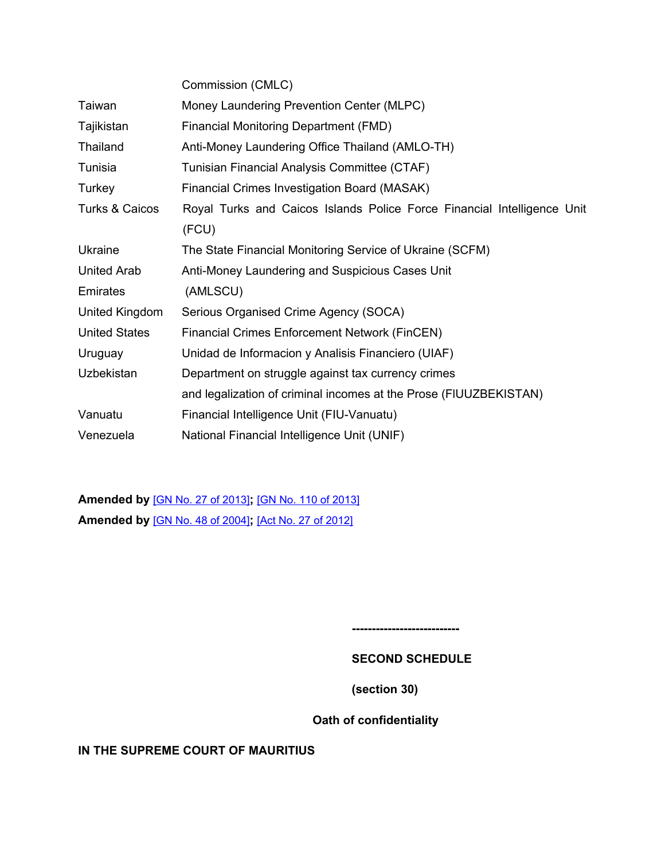|                      | Commission (CMLC)                                                       |  |
|----------------------|-------------------------------------------------------------------------|--|
| Taiwan               | Money Laundering Prevention Center (MLPC)                               |  |
| Tajikistan           | Financial Monitoring Department (FMD)                                   |  |
| Thailand             | Anti-Money Laundering Office Thailand (AMLO-TH)                         |  |
| Tunisia              | Tunisian Financial Analysis Committee (CTAF)                            |  |
| Turkey               | Financial Crimes Investigation Board (MASAK)                            |  |
| Turks & Caicos       | Royal Turks and Caicos Islands Police Force Financial Intelligence Unit |  |
|                      | (FCU)                                                                   |  |
| Ukraine              | The State Financial Monitoring Service of Ukraine (SCFM)                |  |
| <b>United Arab</b>   | Anti-Money Laundering and Suspicious Cases Unit                         |  |
| Emirates             | (AMLSCU)                                                                |  |
| United Kingdom       | Serious Organised Crime Agency (SOCA)                                   |  |
| <b>United States</b> | <b>Financial Crimes Enforcement Network (FinCEN)</b>                    |  |
| Uruguay              | Unidad de Informacion y Analisis Financiero (UIAF)                      |  |
| <b>Uzbekistan</b>    | Department on struggle against tax currency crimes                      |  |
|                      | and legalization of criminal incomes at the Prose (FIUUZBEKISTAN)       |  |
| Vanuatu              | Financial Intelligence Unit (FIU-Vanuatu)                               |  |
| Venezuela            | National Financial Intelligence Unit (UNIF)                             |  |

**Amended by** [GN No. 27 of [2013\]](https://supremecourt.govmu.org/_layouts/CLIS.DMS/search/searchdocumentbykey.aspx?ID=%5BGN%20No.%2027%20of%202013%5D&list=Legislations)**;** [GN No. 110 of [2013\]](https://supremecourt.govmu.org/_layouts/CLIS.DMS/search/searchdocumentbykey.aspx?ID=%5BGN%20No.%20110%20of%202013%5D&list=Legislations) **Amended by** [GN No. 48 of [2004\]](https://supremecourt.govmu.org/_layouts/CLIS.DMS/search/searchdocumentbykey.aspx?ID=%5BGN%20No.%2048%20of%202004%5D&list=Legislations)**;** [Act No. 27 of [2012\]](https://supremecourt.govmu.org/_layouts/CLIS.DMS/search/searchdocumentbykey.aspx?ID=%5BAct%20No.%2027%20of%202012%5D&list=Legislations)

<span id="page-45-0"></span>**---------------------------**

## **SECOND SCHEDULE**

**(section 30)**

**Oath of confidentiality**

**IN THE SUPREME COURT OF MAURITIUS**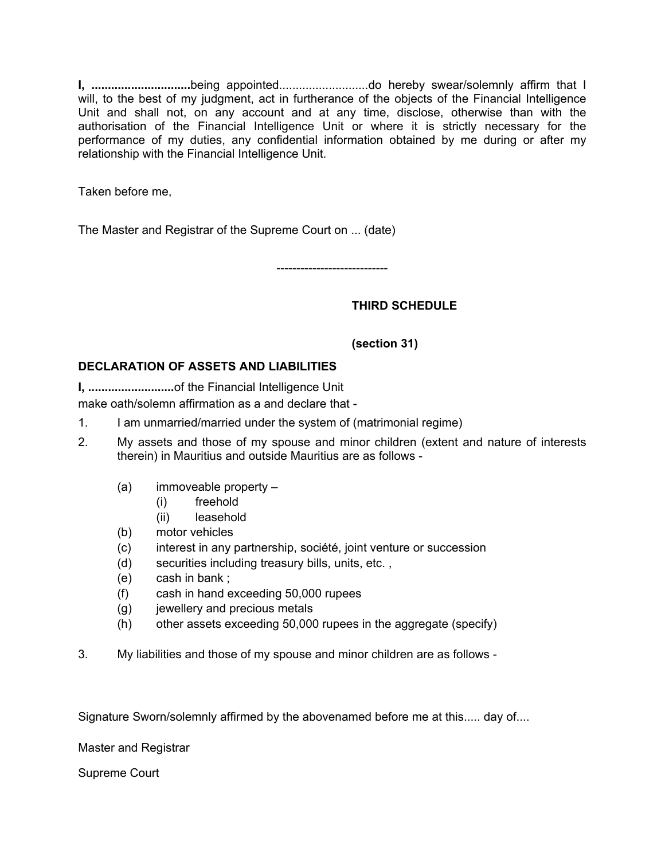**I, ..............................**being appointed...........................do hereby swear/solemnly affirm that I will, to the best of my judgment, act in furtherance of the objects of the Financial Intelligence Unit and shall not, on any account and at any time, disclose, otherwise than with the authorisation of the Financial Intelligence Unit or where it is strictly necessary for the performance of my duties, any confidential information obtained by me during or after my relationship with the Financial Intelligence Unit.

Taken before me,

The Master and Registrar of the Supreme Court on ... (date)

----------------------------

## <span id="page-46-0"></span>**THIRD SCHEDULE**

## **(section 31)**

## **DECLARATION OF ASSETS AND LIABILITIES**

**I, ..........................**of the Financial Intelligence Unit make oath/solemn affirmation as a and declare that -

- 1. I am unmarried/married under the system of (matrimonial regime)
- 2. My assets and those of my spouse and minor children (extent and nature of interests therein) in Mauritius and outside Mauritius are as follows -
	- (a) immoveable property
		- (i) freehold
		- (ii) leasehold
	- (b) motor vehicles
	- (c) interest in any partnership, société, joint venture or succession
	- (d) securities including treasury bills, units, etc. ,
	- (e) cash in bank ;
	- (f) cash in hand exceeding 50,000 rupees
	- (g) jewellery and precious metals
	- (h) other assets exceeding 50,000 rupees in the aggregate (specify)
- 3. My liabilities and those of my spouse and minor children are as follows -

Signature Sworn/solemnly affirmed by the abovenamed before me at this..... day of....

Master and Registrar

Supreme Court